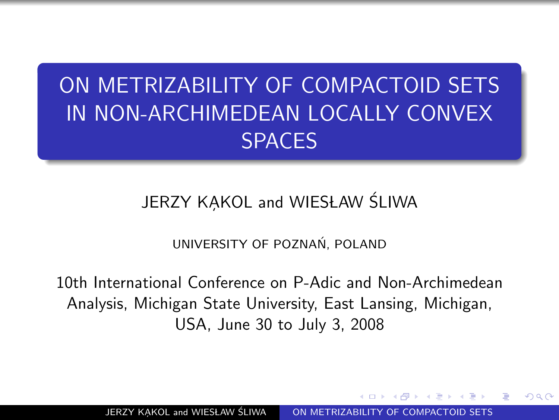# ON METRIZABILITY OF COMPACTOID SETS IN NON-ARCHIMEDEAN LOCALLY CONVEX SPACES

#### JERZY KAKOL and WIESŁAW ŚLIWA

<span id="page-0-0"></span>UNIVERSITY OF POZNAN, POLAND ´

10th International Conference on P-Adic and Non-Archimedean Analysis, Michigan State University, East Lansing, Michigan, USA, June 30 to July 3, 2008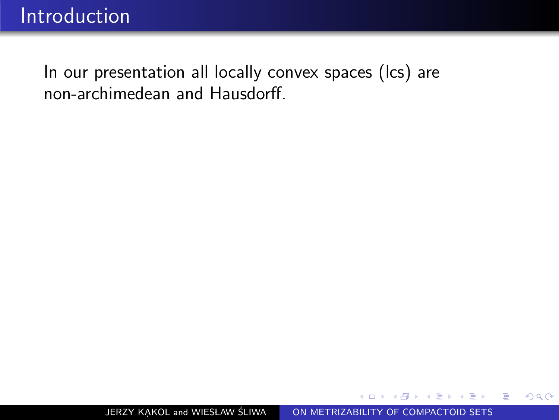In our presentation all locally convex spaces (lcs) are non-archimedean and Hausdorff.

つくへ

э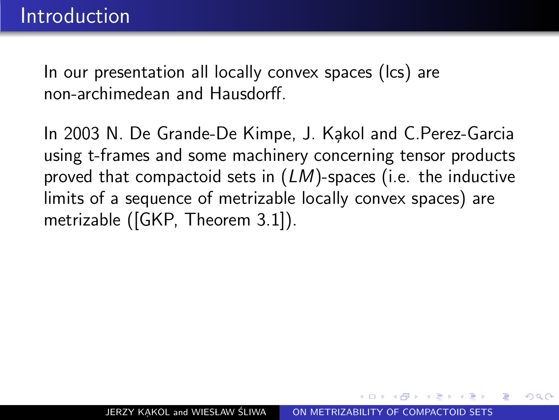In our presentation all locally convex spaces (lcs) are non-archimedean and Hausdorff.

In 2003 N. De Grande-De Kimpe, J. Kakol and C.Perez-Garcia using t-frames and some machinery concerning tensor products proved that compactoid sets in  $(LM)$ -spaces (i.e. the inductive limits of a sequence of metrizable locally convex spaces) are metrizable ([GKP, Theorem 3.1]).

つくへ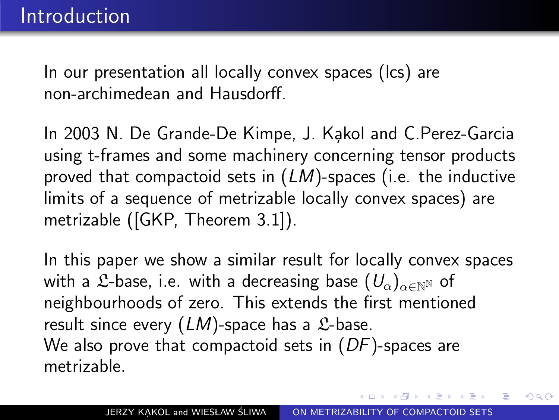In our presentation all locally convex spaces (lcs) are non-archimedean and Hausdorff.

In 2003 N. De Grande-De Kimpe, J. Kakol and C.Perez-Garcia using t-frames and some machinery concerning tensor products proved that compactoid sets in  $(LM)$ -spaces (i.e. the inductive limits of a sequence of metrizable locally convex spaces) are metrizable ([GKP, Theorem 3.1]).

In this paper we show a similar result for locally convex spaces with a L-base, i.e. with a decreasing base  $(U_{\alpha})_{\alpha \in \mathbb{N}^{N}}$  of neighbourhoods of zero. This extends the first mentioned result since every  $(LM)$ -space has a  $\mathcal{L}$ -base. We also prove that compactoid sets in  $(DF)$ -spaces are metrizable.

つくへ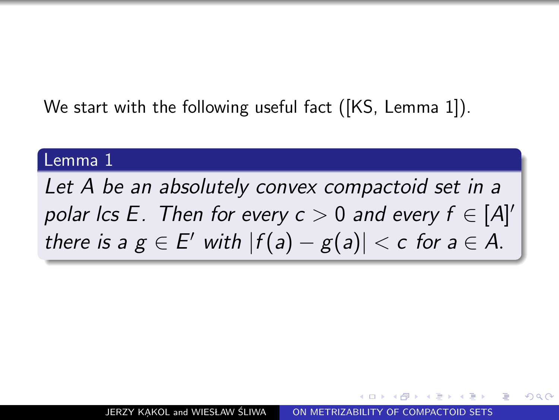We start with the following useful fact ([KS, Lemma 1]).

#### Lemma 1

Let A be an absolutely convex compactoid set in a polar Ics E. Then for every  $c > 0$  and every  $f \in [A]^\prime$ there is a  $g \in E'$  with  $|f(a) - g(a)| < c$  for  $a \in A$ .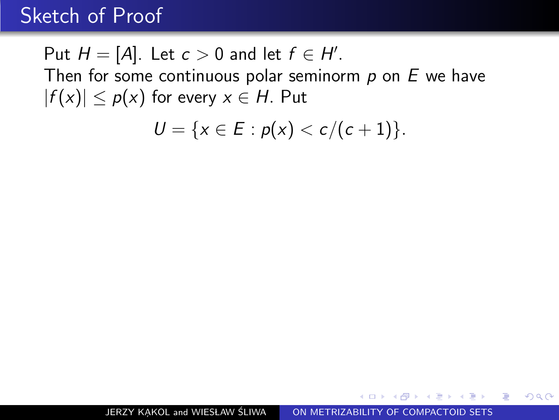Put  $H = [A]$ . Let  $c > 0$  and let  $f \in H'$ . Then for some continuous polar seminorm  $p$  on  $E$  we have  $|f(x)| \leq p(x)$  for every  $x \in H$ . Put

$$
U = \{x \in E : p(x) < c/(c+1)\}.
$$

 $\Omega$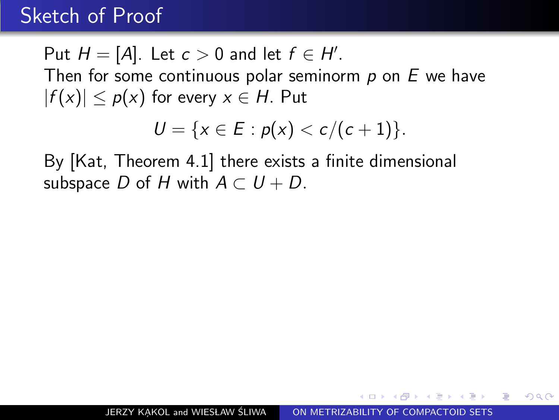Put  $H = [A]$ . Let  $c > 0$  and let  $f \in H'$ . Then for some continuous polar seminorm  $p$  on  $E$  we have  $|f(x)| \leq p(x)$  for every  $x \in H$ . Put

$$
U = \{x \in E : p(x) < c/(c+1)\}.
$$

By [Kat, Theorem 4.1] there exists a finite dimensional subspace D of H with  $A \subset U + D$ .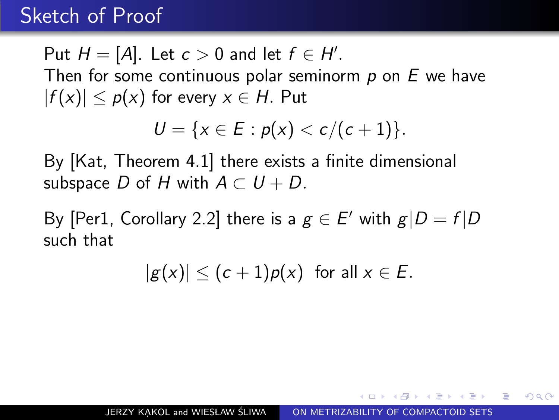Put  $H = [A]$ . Let  $c > 0$  and let  $f \in H'$ . Then for some continuous polar seminorm  $p$  on  $E$  we have  $|f(x)| \leq p(x)$  for every  $x \in H$ . Put

$$
U = \{x \in E : p(x) < c/(c+1)\}.
$$

By [Kat, Theorem 4.1] there exists a finite dimensional subspace D of H with  $A \subset U + D$ .

By [Per1, Corollary 2.2] there is a  $g \in E'$  with  $g|D = f|D$ such that

 $|g(x)| \leq (c+1)p(x)$  for all  $x \in E$ .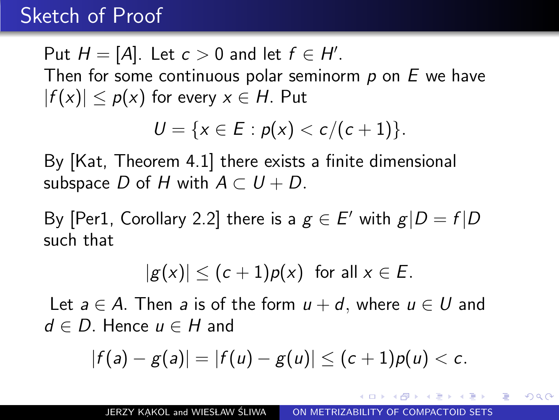Put  $H = [A]$ . Let  $c > 0$  and let  $f \in H'$ . Then for some continuous polar seminorm  $p$  on  $E$  we have  $|f(x)| \leq p(x)$  for every  $x \in H$ . Put

$$
U = \{x \in E : p(x) < c/(c+1)\}.
$$

By [Kat, Theorem 4.1] there exists a finite dimensional subspace D of H with  $A \subset U + D$ .

By [Per1, Corollary 2.2] there is a  $g \in E'$  with  $g|D = f|D$ such that

$$
|g(x)| \leq (c+1)p(x) \text{ for all } x \in E.
$$

Let  $a \in A$ . Then a is of the form  $u + d$ , where  $u \in U$  and  $d \in D$ . Hence  $u \in H$  and

$$
|f(a)-g(a)|=|f(u)-g(u)|\leq (c+1)p(u)
$$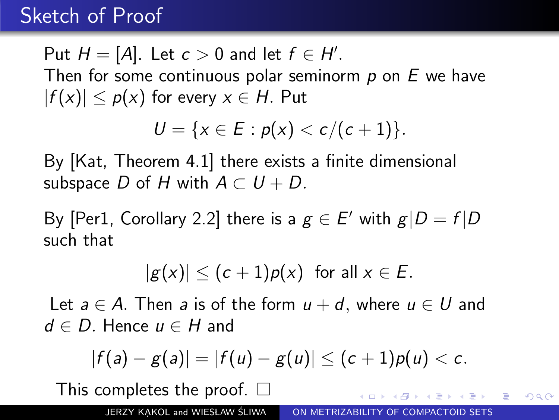Put  $H = [A]$ . Let  $c > 0$  and let  $f \in H'$ . Then for some continuous polar seminorm  $p$  on  $E$  we have  $|f(x)| \leq p(x)$  for every  $x \in H$ . Put

$$
U = \{x \in E : p(x) < c/(c+1)\}.
$$

By [Kat, Theorem 4.1] there exists a finite dimensional subspace D of H with  $A \subset U + D$ .

By [Per1, Corollary 2.2] there is a  $g \in E'$  with  $g|D = f|D$ such that

$$
|g(x)| \leq (c+1)p(x) \text{ for all } x \in E.
$$

Let  $a \in A$ . Then a is of the form  $u + d$ , where  $u \in U$  and  $d \in D$ . Hence  $u \in H$  and

$$
|f(a)-g(a)|=|f(u)-g(u)|\leq (c+1)p(u)
$$

This completes the proof.  $\square$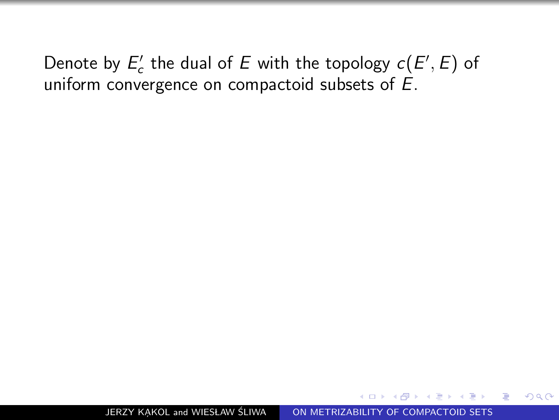Denote by  $E'_c$  the dual of E with the topology  $c(E', E)$  of uniform convergence on compactoid subsets of E.

 $\Omega$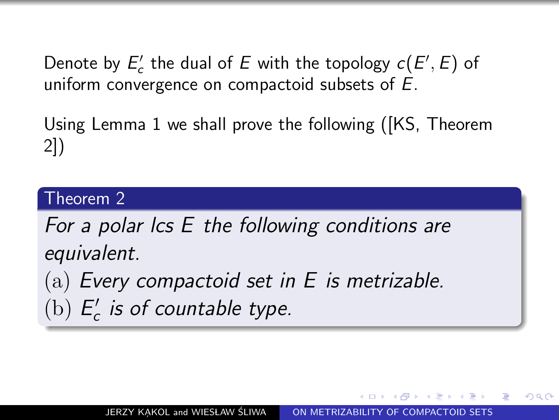Denote by  $E'_c$  the dual of E with the topology  $c(E', E)$  of uniform convergence on compactoid subsets of E.

Using Lemma 1 we shall prove the following ([KS, Theorem 2])

#### Theorem 2

For a polar lcs E the following conditions are equivalent.

(a) Every compactoid set in  $E$  is metrizable.

(b)  $E_c'$  $\int_{c}^{t}$  is of countable type.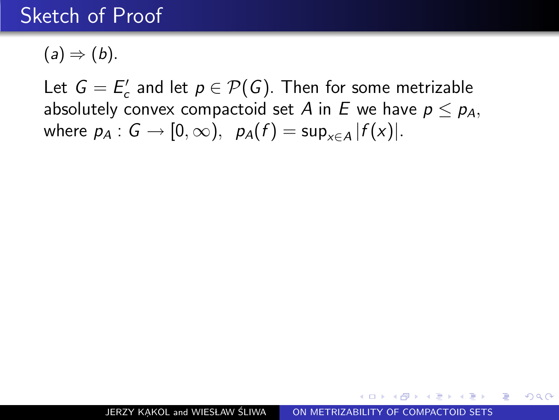$(a) \Rightarrow (b)$ .

Let  $G = E'_c$  and let  $p \in \mathcal{P}(G)$ . Then for some metrizable absolutely convex compactoid set A in E we have  $p \leq p_A$ , where  $p_A: G \to [0, \infty)$ ,  $p_A(f) = \sup_{x \in A} |f(x)|$ .

k de xia de xia de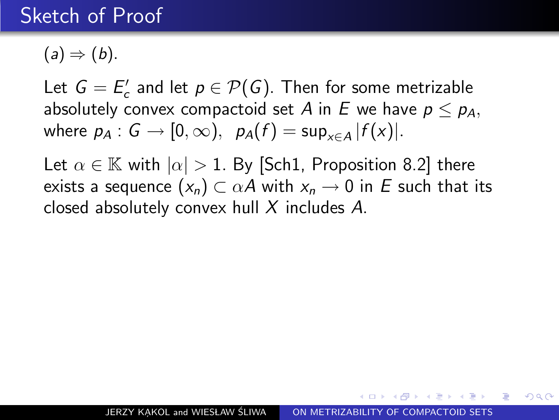$(a) \Rightarrow (b).$ 

Let  $G = E'_c$  and let  $p \in \mathcal{P}(G)$ . Then for some metrizable absolutely convex compactoid set A in E we have  $p \leq p_A$ , where  $p_A: G \to [0, \infty)$ ,  $p_A(f) = \sup_{x \in A} |f(x)|$ .

Let  $\alpha \in \mathbb{K}$  with  $|\alpha| > 1$ . By [Sch1, Proposition 8.2] there exists a sequence  $(x_n) \subset \alpha A$  with  $x_n \to 0$  in E such that its closed absolutely convex hull X includes A.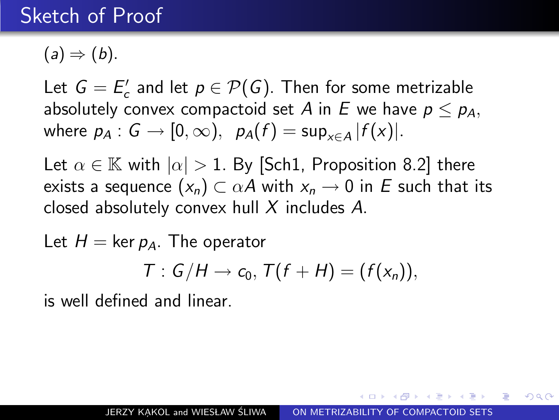$(a) \Rightarrow (b).$ 

Let  $G = E'_c$  and let  $p \in \mathcal{P}(G)$ . Then for some metrizable absolutely convex compactoid set A in E we have  $p \leq p_A$ , where  $p_A: G \to [0, \infty)$ ,  $p_A(f) = \sup_{x \in A} |f(x)|$ .

Let  $\alpha \in \mathbb{K}$  with  $|\alpha| > 1$ . By [Sch1, Proposition 8.2] there exists a sequence  $(x_n) \subset \alpha A$  with  $x_n \to 0$  in E such that its closed absolutely convex hull X includes A.

Let  $H = \ker p_A$ . The operator

$$
T: G/H \to c_0, T(f+H)=(f(x_n)),
$$

is well defined and linear.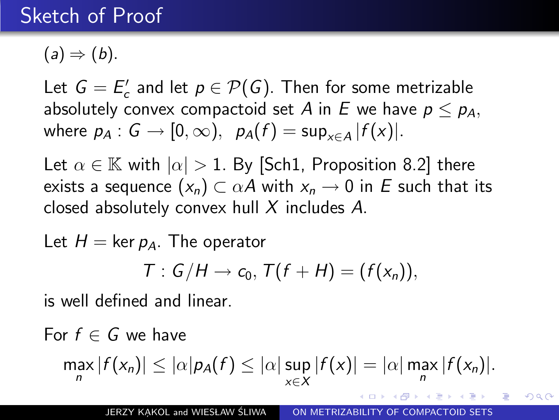$(a) \Rightarrow (b).$ 

Let  $G = E'_c$  and let  $p \in \mathcal{P}(G)$ . Then for some metrizable absolutely convex compactoid set A in E we have  $p \leq p_A$ , where  $p_A: G \to [0, \infty)$ ,  $p_A(f) = \sup_{x \in A} |f(x)|$ .

Let  $\alpha \in \mathbb{K}$  with  $|\alpha| > 1$ . By [Sch1, Proposition 8.2] there exists a sequence  $(x_n) \subset \alpha A$  with  $x_n \to 0$  in E such that its closed absolutely convex hull X includes A.

Let  $H = \ker p_A$ . The operator

$$
T: G/H \to c_0, T(f+H)=(f(x_n)),
$$

is well defined and linear.

For  $f \in G$  we have

$$
\max_{n}|f(x_n)|\leq |\alpha|p_A(f)\leq |\alpha|\sup_{x\in X}|f(x)|=|\alpha|\max_{n}|f(x_n)|.
$$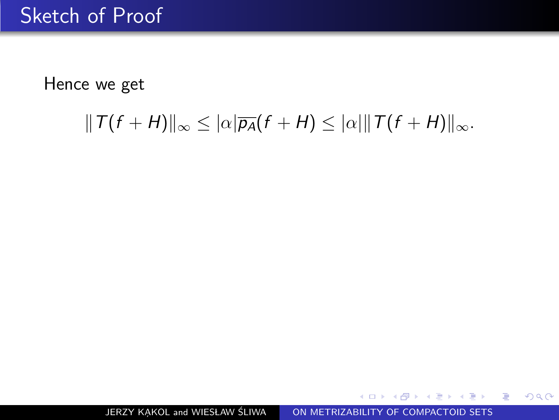## $||T(f + H)||_{\infty} \leq |\alpha|\overline{p_{A}}(f + H) \leq |\alpha||T(f + H)||_{\infty}.$

JERZY KAKOL and WIESŁAW ŚLIWA [ON METRIZABILITY OF COMPACTOID SETS](#page-0-0)

- K 로 ▶ K 로 ▶ - 로 - YO Q @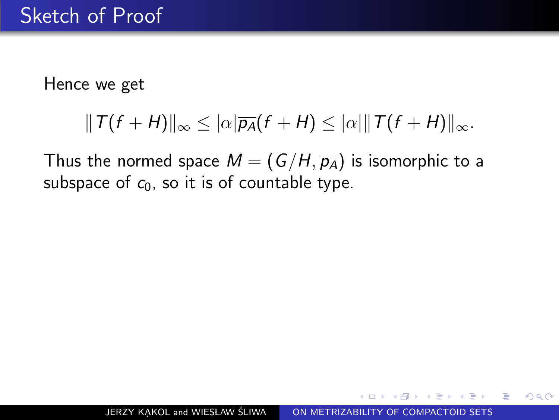$$
||T(f+H)||_{\infty}\leq |\alpha|\overline{p_{A}}(f+H)\leq |\alpha|\Vert T(f+H)\Vert_{\infty}.
$$

Thus the normed space  $M = (G/H, \overline{p_A})$  is isomorphic to a subspace of  $c_0$ , so it is of countable type.

つへへ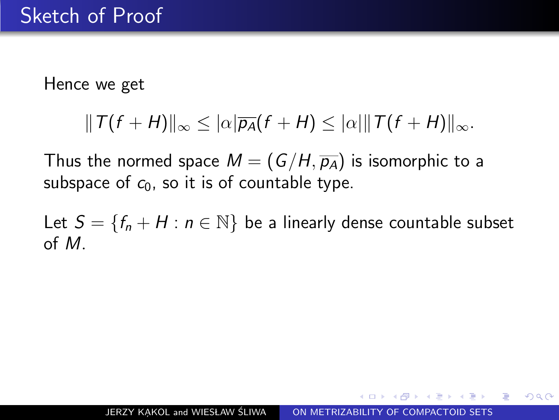$$
||T(f+H)||_{\infty}\leq |\alpha|\overline{p_{A}}(f+H)\leq |\alpha|\Vert T(f+H)\Vert_{\infty}.
$$

Thus the normed space  $M = (G/H, \overline{p_A})$  is isomorphic to a subspace of  $c_0$ , so it is of countable type.

Let  $S = \{f_n + H : n \in \mathbb{N}\}\$  be a linearly dense countable subset of M.

つくへ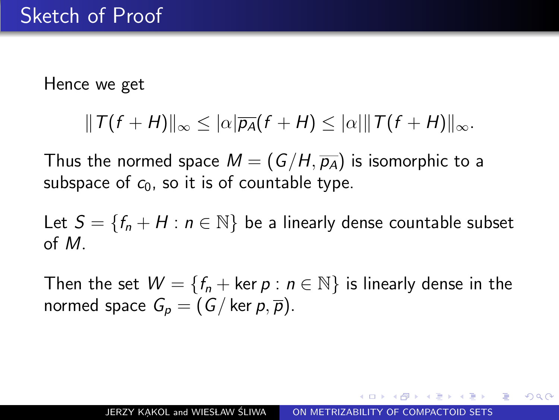$$
||T(f+H)||_{\infty}\leq |\alpha|\overline{p_{A}}(f+H)\leq |\alpha|\Vert T(f+H)\Vert_{\infty}.
$$

Thus the normed space  $M = (G/H, \overline{p_A})$  is isomorphic to a subspace of  $c_0$ , so it is of countable type.

Let  $S = \{f_n + H : n \in \mathbb{N}\}\$  be a linearly dense countable subset of M.

Then the set  $W = \{f_n + \text{ker } p : n \in \mathbb{N}\}\$ is linearly dense in the normed space  $G_n = (G / \ker p, \overline{p}).$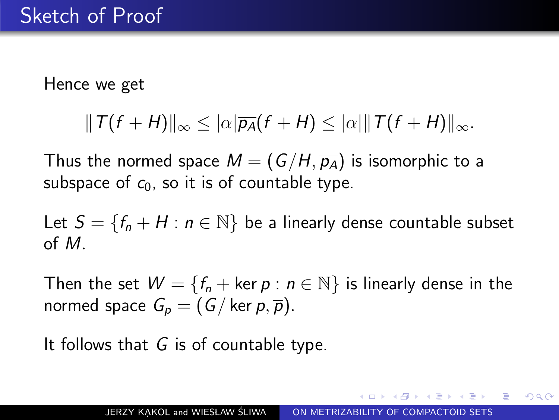$$
||T(f+H)||_{\infty}\leq |\alpha|\overline{p_{A}}(f+H)\leq |\alpha|\Vert T(f+H)\Vert_{\infty}.
$$

Thus the normed space  $M = (G/H, \overline{p_A})$  is isomorphic to a subspace of  $c_0$ , so it is of countable type.

Let  $S = \{f_n + H : n \in \mathbb{N}\}\$  be a linearly dense countable subset of M.

Then the set  $W = \{f_n + \text{ker } p : n \in \mathbb{N}\}\$ is linearly dense in the normed space  $G_p = (G / \ker p, \overline{p}).$ 

It follows that  $G$  is of countable type.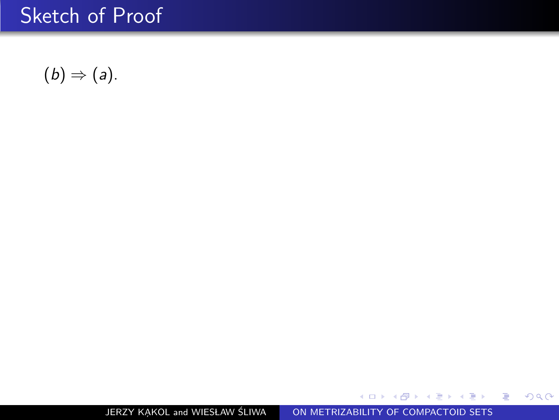$$
(b) \Rightarrow (a).
$$

JERZY KAKOL and WIESŁAW ŚLIWA | [ON METRIZABILITY OF COMPACTOID SETS](#page-0-0)

目

目  $\rightarrow$ ×. Þ

э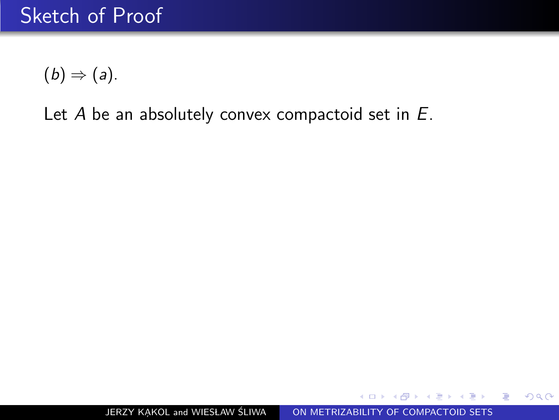Let  $A$  be an absolutely convex compactoid set in  $E$ .

 $299$ 

ヨト 重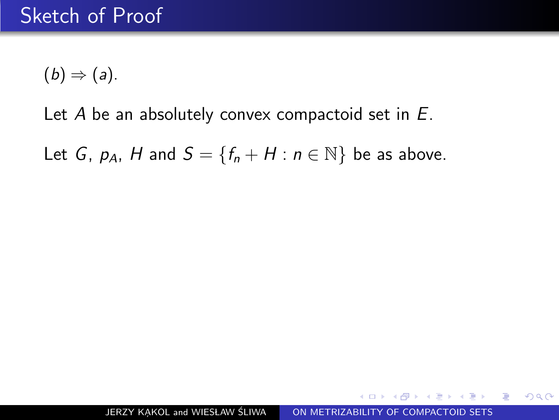#### Let  $A$  be an absolutely convex compactoid set in  $E$ .

Let G,  $p_A$ , H and  $S = \{f_n + H : n \in \mathbb{N}\}\)$  be as above.

 $299$ 

重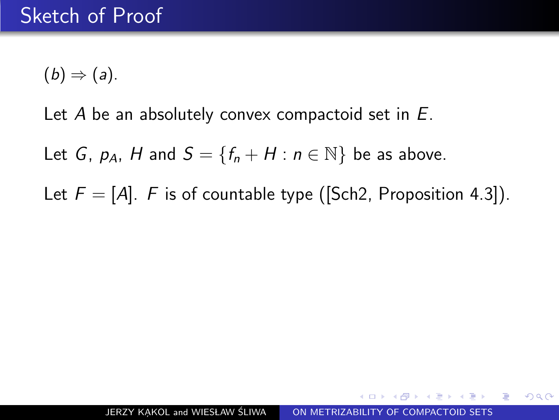#### Let  $A$  be an absolutely convex compactoid set in  $E$ .

Let G,  $p_A$ , H and  $S = \{f_n + H : n \in \mathbb{N}\}\)$  be as above.

Let  $F = [A]$ . F is of countable type ([Sch2, Proposition 4.3]).

 $QQ$ 

G.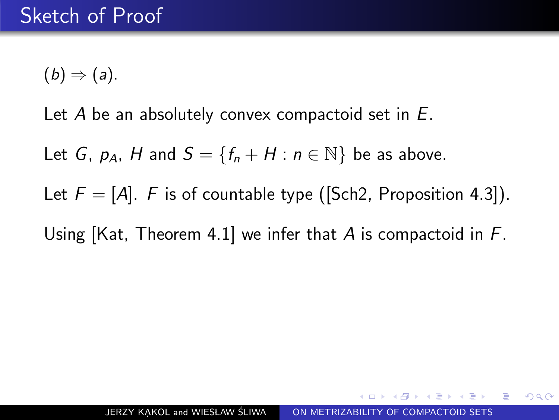Let  $A$  be an absolutely convex compactoid set in  $E$ .

Let G,  $p_A$ , H and  $S = \{f_n + H : n \in \mathbb{N}\}\)$  be as above.

Let  $F = [A]$ . F is of countable type ([Sch2, Proposition 4.3]).

Using [Kat, Theorem 4.1] we infer that A is compactoid in  $F$ .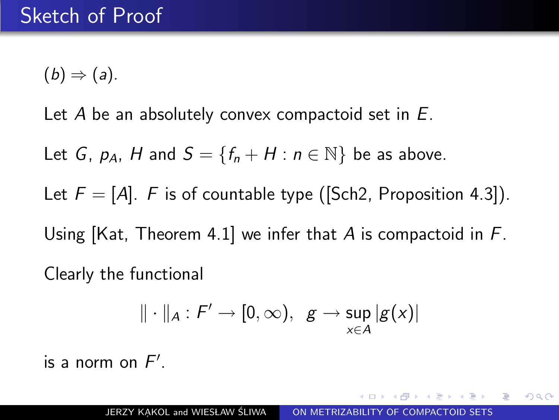Let A be an absolutely convex compactoid set in  $E$ .

Let G,  $p_A$ , H and  $S = \{f_n + H : n \in \mathbb{N}\}\)$  be as above.

Let  $F = [A]$ . F is of countable type ([Sch2, Proposition 4.3]). Using  $[Kat, Theorem 4.1]$  we infer that A is compactoid in F. Clearly the functional

$$
\|\cdot\|_A: F'\to [0,\infty),\ \ g\to \sup_{x\in A}|g(x)|
$$

is a norm on  $F'$ .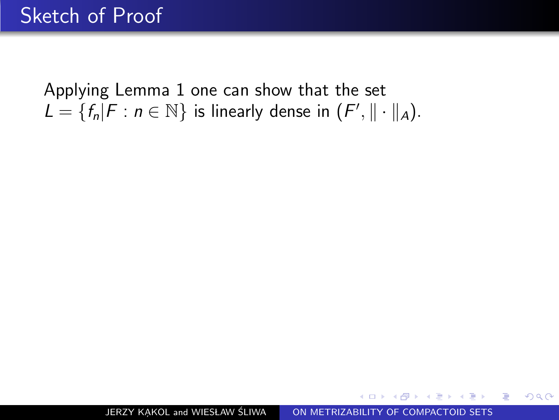JERZY KAKOL and WIESŁAW ŚLIWA [ON METRIZABILITY OF COMPACTOID SETS](#page-0-0)

化重新 化重新分

重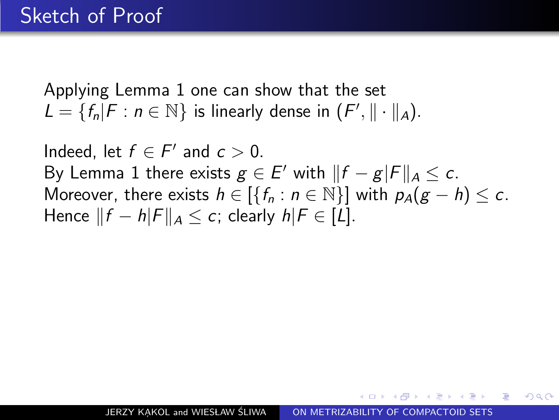Indeed, let  $f \in F'$  and  $c > 0$ . By Lemma 1 there exists  $g \in E'$  with  $||f - g|F||_A \leq c$ . Moreover, there exists  $h \in \{ \{f_n : n \in \mathbb{N} \} \}$  with  $p_A(g - h) \leq c$ . Hence  $||f - h|F||_A < c$ ; clearly  $h|F \in [L]$ .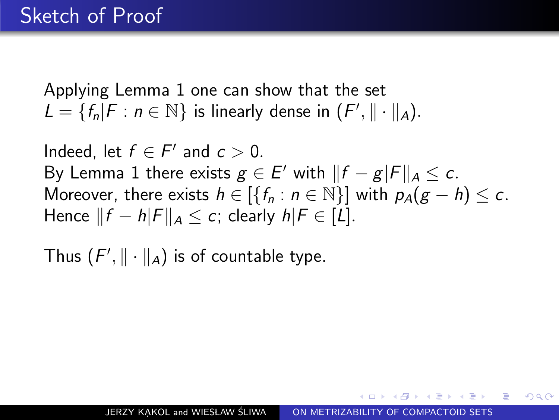Indeed, let  $f \in F'$  and  $c > 0$ . By Lemma 1 there exists  $g \in E'$  with  $||f - g|F||_A \leq c$ . Moreover, there exists  $h \in \{ \{f_n : n \in \mathbb{N} \} \}$  with  $p_A(g - h) \leq c$ . Hence  $||f - h|F||_A \leq c$ ; clearly  $h|F \in [L]$ .

Thus  $(F', \|\cdot\|_A)$  is of countable type.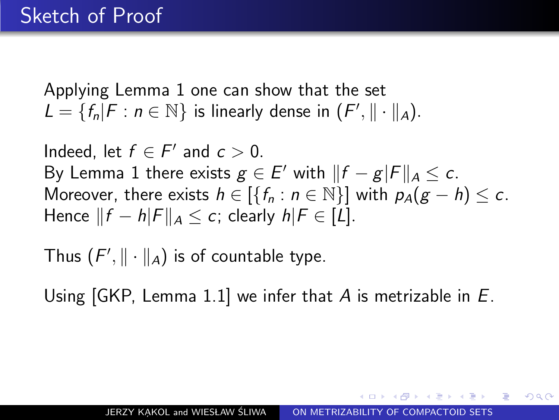Indeed, let  $f \in F'$  and  $c > 0$ . By Lemma 1 there exists  $g \in E'$  with  $||f - g|F||_A \leq c$ . Moreover, there exists  $h \in \{ \{f_n : n \in \mathbb{N} \} \}$  with  $p_A(g - h) \leq c$ . Hence  $||f - h|F||_A < c$ ; clearly  $h|F \in [L]$ .

Thus  $(F', \|\cdot\|_A)$  is of countable type.

Using  $[GKP, Lemma 1.1]$  we infer that A is metrizable in E.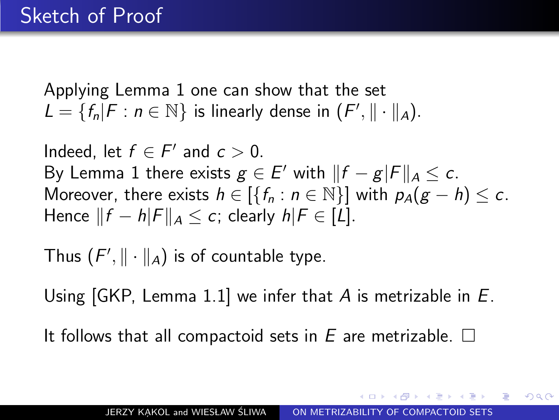Indeed, let  $f \in F'$  and  $c > 0$ . By Lemma 1 there exists  $g \in E'$  with  $||f - g|F||_A \leq c$ . Moreover, there exists  $h \in \{ \{f_n : n \in \mathbb{N} \} \}$  with  $p_A(g - h) \leq c$ . Hence  $||f - h|F||_A \leq c$ ; clearly  $h|F \in [L]$ .

Thus  $(F', \|\cdot\|_A)$  is of countable type.

Using [GKP, Lemma 1.1] we infer that A is metrizable in E.

It follows that all compactoid sets in  $E$  are metrizable.  $\square$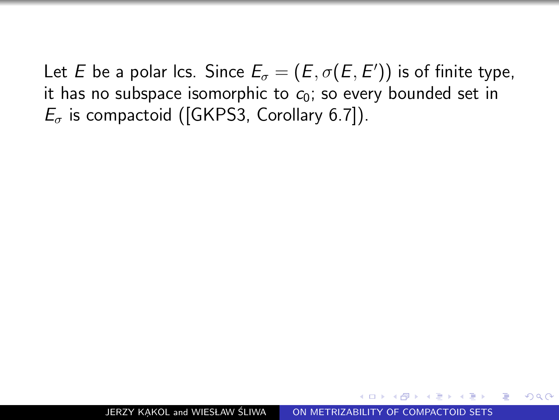Let  $E$  be a polar Ics. Since  $E_{\sigma}=(E,\sigma(E,E'))$  is of finite type, it has no subspace isomorphic to  $c_0$ ; so every bounded set in  $E_{\sigma}$  is compactoid ([GKPS3, Corollary 6.7]).

つくへ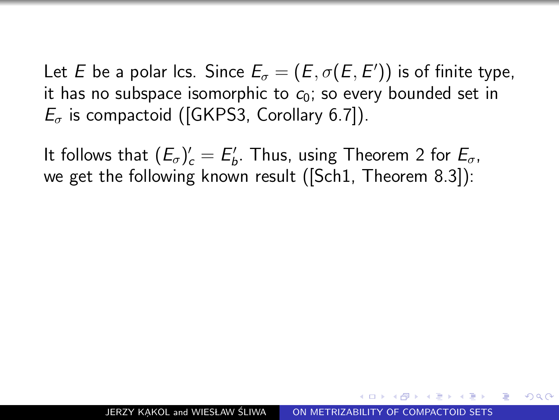Let  $E$  be a polar Ics. Since  $E_{\sigma}=(E,\sigma(E,E'))$  is of finite type, it has no subspace isomorphic to  $c_0$ ; so every bounded set in  $E_{\sigma}$  is compactoid ([GKPS3, Corollary 6.7]).

It follows that  $(E_{\sigma})'_{c} = E'_{b}$ . Thus, using Theorem 2 for  $E_{\sigma}$ , we get the following known result ([Sch1, Theorem 8.3]):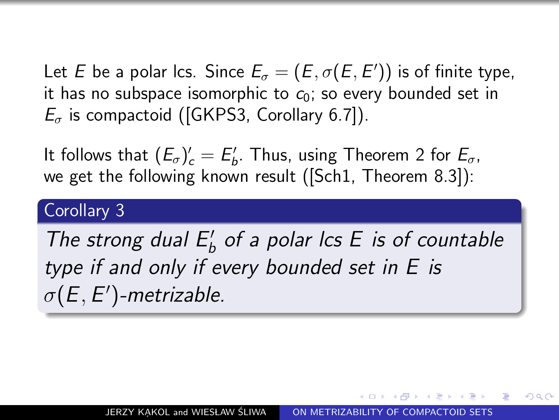Let  $E$  be a polar Ics. Since  $E_{\sigma}=(E,\sigma(E,E'))$  is of finite type, it has no subspace isomorphic to  $c_0$ ; so every bounded set in  $E_{\sigma}$  is compactoid ([GKPS3, Corollary 6.7]).

It follows that  $(E_{\sigma})'_{c} = E'_{b}$ . Thus, using Theorem 2 for  $E_{\sigma}$ , we get the following known result ([Sch1, Theorem 8.3]):

#### Corollary 3

The strong dual  $E'_b$  of a polar lcs E is of countable type if and only if every bounded set in E is  $\sigma(E,E')$ -metrizable.

つくへ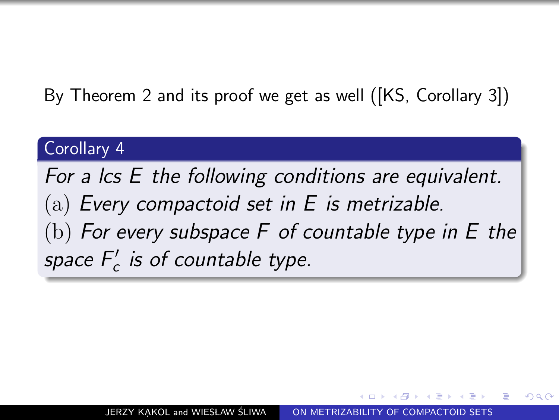By Theorem 2 and its proof we get as well ([KS, Corollary 3])

#### Corollary 4

For a lcs E the following conditions are equivalent.  $(a)$  Every compactoid set in E is metrizable. (b) For every subspace  $F$  of countable type in  $E$  the space  $F_c'$  is of countable type.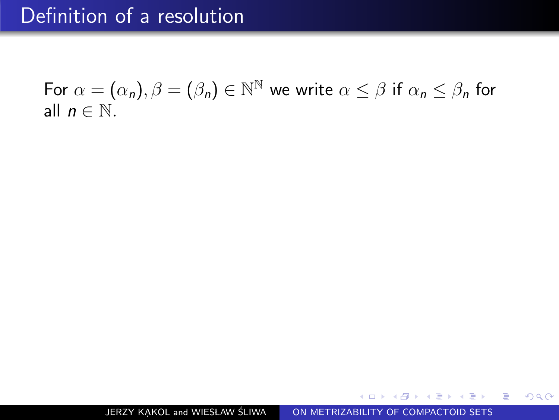$299$ 

化重压 化重压 医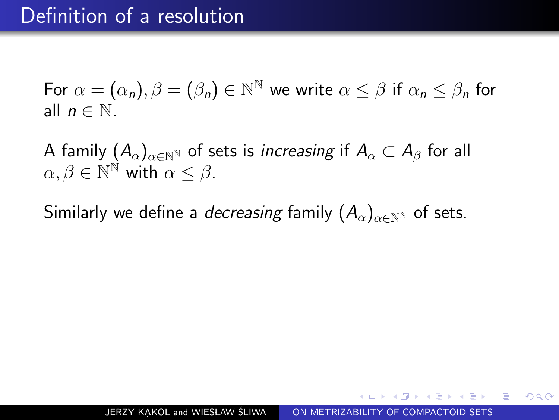A family  $(A_{\alpha})_{\alpha \in \mathbb{N}^{\mathbb{N}}}$  of sets is *increasing* if  $A_{\alpha} \subset A_{\beta}$  for all  $\alpha, \beta \in \mathbb{N}^{\mathbb{N}}$  with  $\alpha \leq \beta$ .

Similarly we define a *decreasing* family  $(A_{\alpha})_{\alpha \in \mathbb{N}^{\mathbb{N}}}$  of sets.

 $\Omega$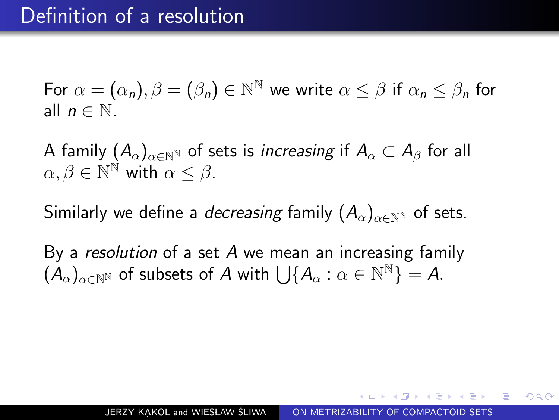A family  $(A_{\alpha})_{\alpha \in \mathbb{N}^{\mathbb{N}}}$  of sets is *increasing* if  $A_{\alpha} \subset A_{\beta}$  for all  $\alpha, \beta \in \mathbb{N}^{\mathbb{N}}$  with  $\alpha \leq \beta$ .

Similarly we define a *decreasing* family  $(A_\alpha)_{\alpha\in\mathbb{N}^{\mathbb{N}}}$  of sets.

By a resolution of a set  $A$  we mean an increasing family  $(\dot{A}_\alpha)_{\alpha\in{\mathbb N}^{\mathbb N}}$  of subsets of  $A$  with  $\bigcup\{A_\alpha:\alpha\in{\mathbb N}^{\mathbb N}\}=\mathcal A.$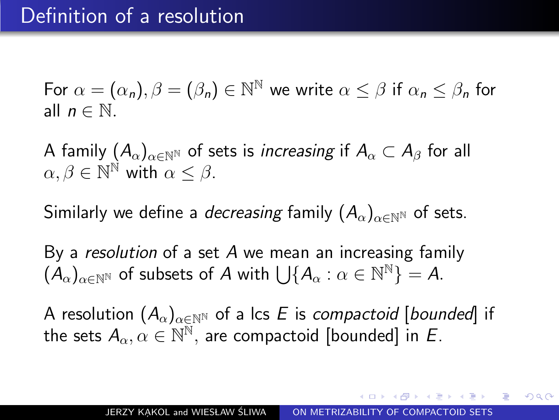A family  $(A_{\alpha})_{\alpha \in \mathbb{N}^{\mathbb{N}}}$  of sets is *increasing* if  $A_{\alpha} \subset A_{\beta}$  for all  $\alpha, \beta \in \mathbb{N}^{\mathbb{N}}$  with  $\alpha \leq \beta$ .

Similarly we define a *decreasing* family  $(A_{\alpha})_{\alpha \in \mathbb{N}^{\mathbb{N}}}$  of sets.

By a resolution of a set  $A$  we mean an increasing family  $(\dot{A}_\alpha)_{\alpha\in{\mathbb N}^{\mathbb N}}$  of subsets of  $A$  with  $\bigcup\{A_\alpha:\alpha\in{\mathbb N}^{\mathbb N}\}=\mathcal A.$ 

A resolution  $(A_{\alpha})_{\alpha \in \mathbb{N}^{\mathbb{N}}}$  of a lcs E is compactoid [bounded] if the sets  $A_\alpha, \alpha \in \mathbb{N}^\mathbb{N},$  are compactoid [bounded] in E.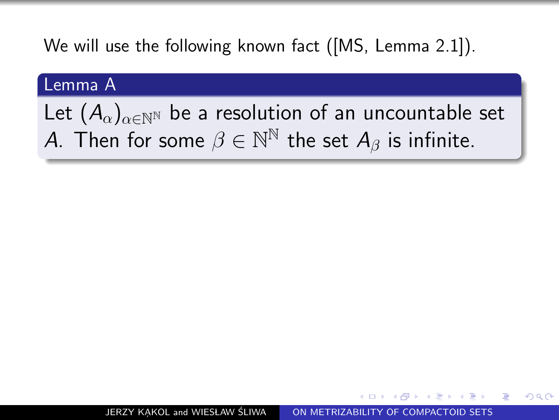We will use the following known fact ([MS, Lemma 2.1]).

#### Lemma A

Let  $(A_\alpha)_{\alpha\in\mathbb{N}^{\mathbb{N}}}$  be a resolution of an uncountable set A. Then for some  $\beta \in \mathbb{N}^\mathbb{N}$  the set  $A_\beta$  is infinite.

 $\Omega$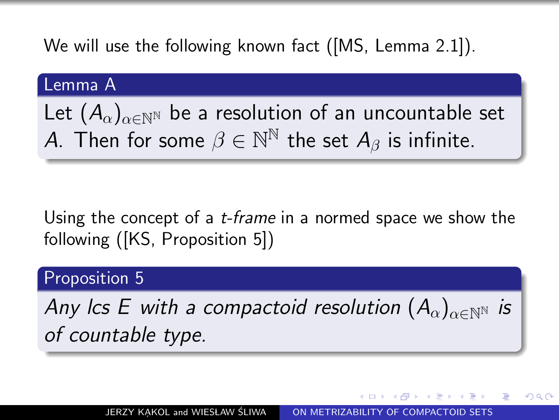We will use the following known fact ([MS, Lemma 2.1]).

#### Lemma A

Let  $(A_{\alpha})_{\alpha\in\mathbb{N}^{N}}$  be a resolution of an uncountable set A. Then for some  $\beta \in \mathbb{N}^\mathbb{N}$  the set  $A_\beta$  is infinite.

## Using the concept of a *t-frame* in a normed space we show the following ([KS, Proposition 5])

#### Proposition 5

<span id="page-41-0"></span>Any lcs E with a compactoid resolution  $(A_{\alpha})_{\alpha\in\mathbb{N}^{N}}$  is of countable type.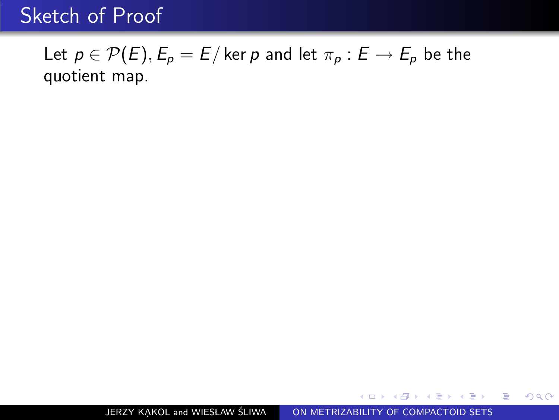## Let  $p \in \mathcal{P}(E)$ ,  $E_p = E$  / ker p and let  $\pi_p : E \to E_p$  be the quotient map.

<span id="page-42-0"></span>医心室 医心室 医心室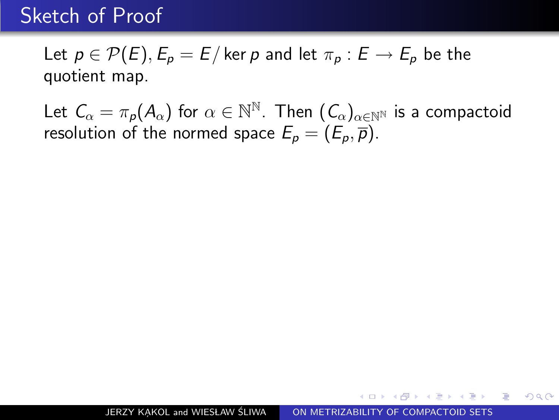Let  $p \in \mathcal{P}(E)$ ,  $E_p = E$  ker p and let  $\pi_p : E \to E_p$  be the quotient map.

Let  $\mathcal{C}_\alpha = \pi_\rho(\mathcal{A}_\alpha)$  for  $\alpha \in \mathbb{N}^\mathbb{N}$ . Then  $(\mathcal{C}_\alpha)_{\alpha \in \mathbb{N}^\mathbb{N}}$  is a compactoid resolution of the normed space  $E_p = (E_p, \overline{p})$ .

化重压 化重压 医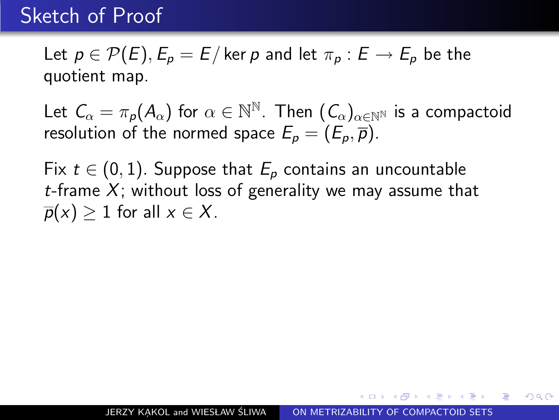Let  $p \in \mathcal{P}(E)$ ,  $E_p = E$  ker p and let  $\pi_p : E \to E_p$  be the quotient map.

Let  $\mathcal{C}_\alpha = \pi_\rho(\mathcal{A}_\alpha)$  for  $\alpha \in \mathbb{N}^\mathbb{N}$ . Then  $(\mathcal{C}_\alpha)_{\alpha \in \mathbb{N}^\mathbb{N}}$  is a compactoid resolution of the normed space  $E_p = (E_p, \overline{p})$ .

Fix  $t \in (0,1)$ . Suppose that  $E_p$  contains an uncountable t-frame X; without loss of generality we may assume that  $\overline{p}(x) > 1$  for all  $x \in X$ .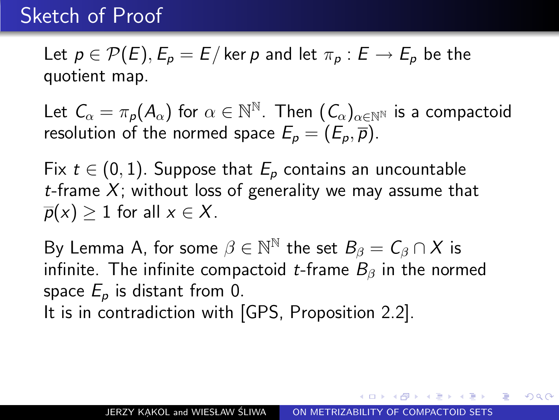Let  $p \in \mathcal{P}(E)$ ,  $E_p = E$  ker p and let  $\pi_p : E \to E_p$  be the quotient map.

Let  $\mathcal{C}_\alpha = \pi_\rho(\mathcal{A}_\alpha)$  for  $\alpha \in \mathbb{N}^\mathbb{N}$ . Then  $(\mathcal{C}_\alpha)_{\alpha \in \mathbb{N}^\mathbb{N}}$  is a compactoid resolution of the normed space  $E_p = (E_p, \overline{p})$ .

Fix  $t \in (0,1)$ . Suppose that  $E_p$  contains an uncountable t-frame X; without loss of generality we may assume that  $\overline{p}(x) > 1$  for all  $x \in X$ .

By Lemma A, for some  $\beta \in \mathbb{N}^{\mathbb{N}}$  the set  $B_{\beta} = C_{\beta} \cap X$  is infinite. The infinite compactoid t-frame  $B_{\beta}$  in the normed space  $E_p$  is distant from 0.

<span id="page-45-0"></span>It is in contradiction with [GPS, Proposition 2.2].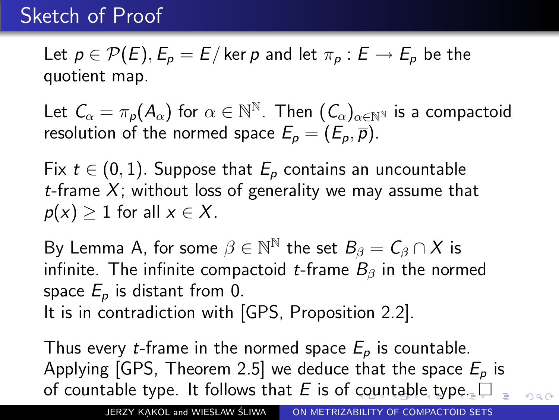Let  $p \in \mathcal{P}(E)$ ,  $E_p = E$  ker p and let  $\pi_p : E \to E_p$  be the quotient map.

Let  $\mathcal{C}_\alpha = \pi_\rho(\mathcal{A}_\alpha)$  for  $\alpha \in \mathbb{N}^\mathbb{N}$ . Then  $(\mathcal{C}_\alpha)_{\alpha \in \mathbb{N}^\mathbb{N}}$  is a compactoid resolution of the normed space  $E_p = (E_p, \overline{p})$ .

Fix  $t \in (0,1)$ . Suppose that  $E_p$  contains an uncountable t-frame X; without loss of generality we may assume that  $\overline{p}(x) > 1$  for all  $x \in X$ .

By Lemma A, for some  $\beta \in \mathbb{N}^{\mathbb{N}}$  the set  $B_{\beta} = C_{\beta} \cap X$  is infinite. The infinite compactoid t-frame  $B_{\beta}$  in the normed space  $E_p$  is distant from 0.

It is in contradiction with [GPS, Proposition 2.2].

<span id="page-46-0"></span>Thus every *t*-frame in the normed space  $E_p$  is countable. Applying [GPS, Theorem 2.5] we deduce that the space  $E_p$  is of [co](#page-45-0)[un](#page-47-0)[t](#page-41-0)[a](#page-42-0)[b](#page-46-0)[l](#page-47-0)[e t](#page-0-0)[yp](#page-125-0)[e.](#page-0-0) It follows that E is of countable type.  $299$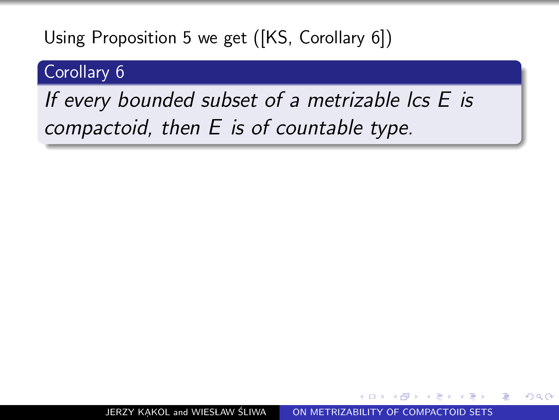### Corollary 6

# <span id="page-47-0"></span>If every bounded subset of a metrizable lcs E is compactoid, then E is of countable type.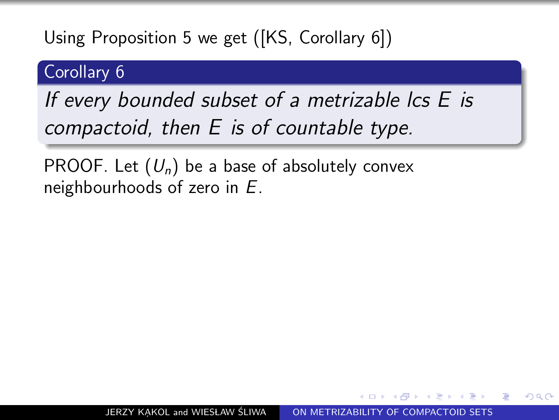### Corollary 6

If every bounded subset of a metrizable lcs E is compactoid, then E is of countable type.

PROOF. Let  $(U_n)$  be a base of absolutely convex neighbourhoods of zero in E.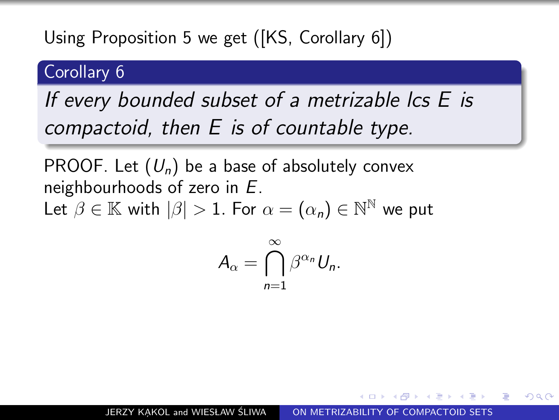### Corollary 6

# If every bounded subset of a metrizable lcs E is compactoid, then E is of countable type.

PROOF. Let  $(U_n)$  be a base of absolutely convex neighbourhoods of zero in E. Let  $\beta \in \mathbb{K}$  with  $|\beta| > 1$ . For  $\alpha = (\alpha_n) \in \mathbb{N}^{\mathbb{N}}$  we put

$$
A_{\alpha}=\bigcap_{n=1}^{\infty}\beta^{\alpha_n}U_n.
$$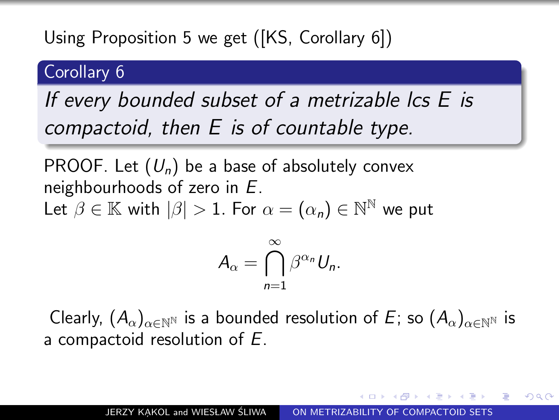## Corollary 6

If every bounded subset of a metrizable lcs E is compactoid, then E is of countable type.

PROOF. Let  $(U_n)$  be a base of absolutely convex neighbourhoods of zero in E. Let  $\beta \in \mathbb{K}$  with  $|\beta| > 1$ . For  $\alpha = (\alpha_n) \in \mathbb{N}^{\mathbb{N}}$  we put

$$
A_{\alpha}=\bigcap_{n=1}^{\infty}\beta^{\alpha_n}U_n.
$$

Clearly,  $(A_{\alpha})_{\alpha \in \mathbb{N}^{N}}$  is a bounded resolution of E; so  $(A_{\alpha})_{\alpha \in \mathbb{N}^{N}}$  is a compactoid resolution of E.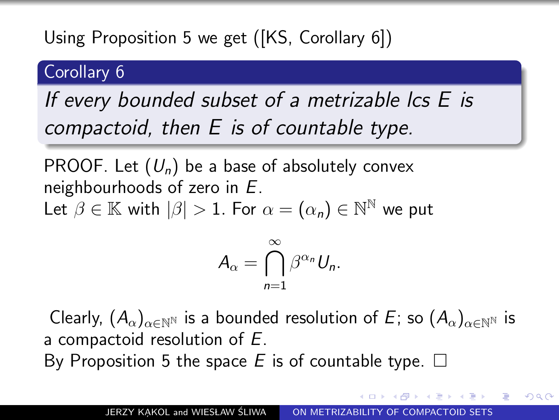## Corollary 6

# If every bounded subset of a metrizable  $\mathsf{L}_s$  is compactoid, then E is of countable type.

PROOF. Let  $(U_n)$  be a base of absolutely convex neighbourhoods of zero in E.

Let  $\beta \in \mathbb{K}$  with  $|\beta| > 1$ . For  $\alpha = (\alpha_n) \in \mathbb{N}^{\mathbb{N}}$  we put

$$
A_{\alpha}=\bigcap_{n=1}^{\infty}\beta^{\alpha_n}U_n.
$$

Clearly,  $(A_{\alpha})_{\alpha \in \mathbb{N}^{N}}$  is a bounded resolution of E; so  $(A_{\alpha})_{\alpha \in \mathbb{N}^{N}}$  is a compactoid resolution of E. By Proposition 5 the space E is of countable type.  $\square$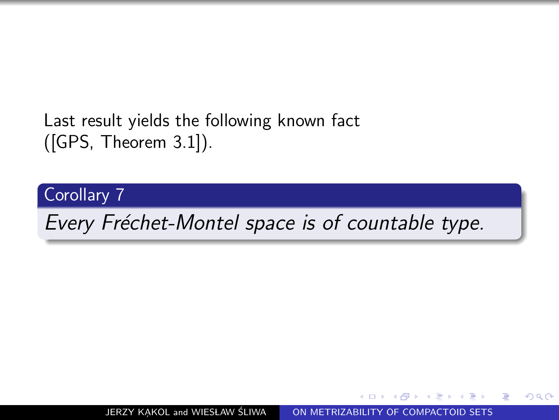## Last result yields the following known fact ([GPS, Theorem 3.1]).

Corollary 7

Every Fréchet-Montel space is of countable type.

JERZY KAKOL and WIESŁAW ŚLIWA [ON METRIZABILITY OF COMPACTOID SETS](#page-0-0)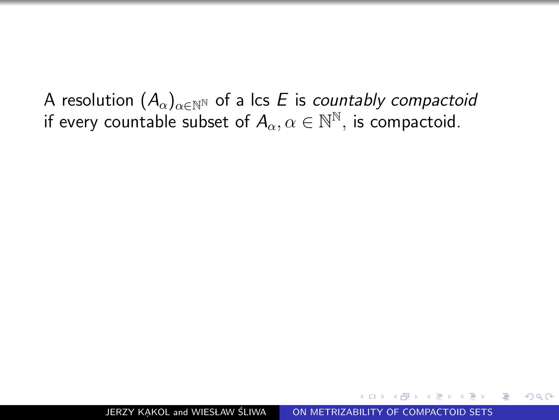A resolution  $(A_{\alpha})_{\alpha \in \mathbb{N}^{\mathbb{N}}}$  of a lcs E is countably compactoid if every countable subset of  $A_\alpha, \alpha \in \mathbb{N}^\mathbb{N},$  is compactoid.

 $\Omega$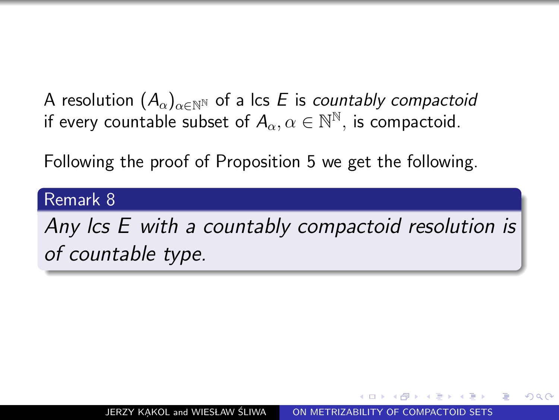A resolution  $(A_{\alpha})_{\alpha \in \mathbb{N}^{\mathbb{N}}}$  of a lcs E is countably compactoid if every countable subset of  $A_\alpha, \alpha \in \mathbb{N}^\mathbb{N},$  is compactoid.

Following the proof of Proposition 5 we get the following.

#### Remark 8

Any lcs E with a countably compactoid resolution is of countable type.

ഹൈ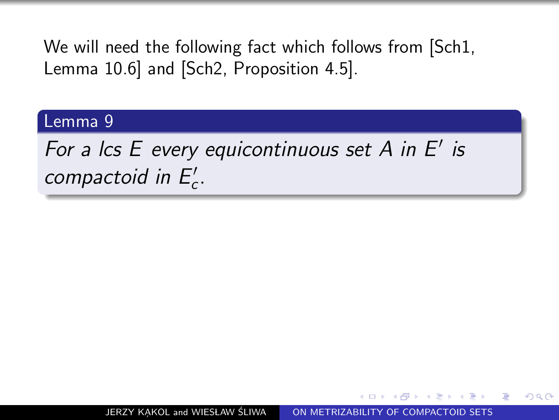We will need the following fact which follows from [Sch1, Lemma 10.6] and [Sch2, Proposition 4.5].

#### Lemma 9

For a lcs  $E$  every equicontinuous set  $A$  in  $E'$  is compactoid in  $E_c'$ .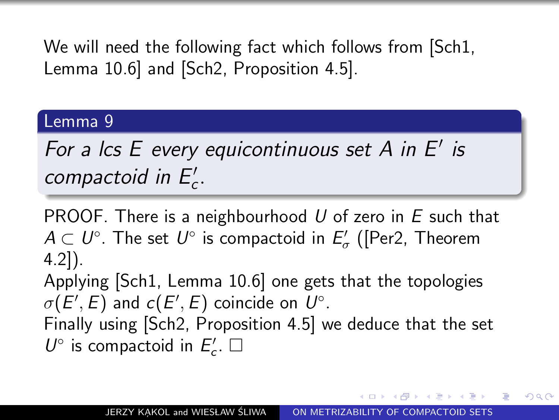We will need the following fact which follows from [Sch1, Lemma 10.6] and [Sch2, Proposition 4.5].

#### Lemma 9

For a lcs  $E$  every equicontinuous set  $A$  in  $E'$  is compactoid in  $E_c'$ .

PROOF. There is a neighbourhood  $U$  of zero in  $E$  such that  $A\subset\mathit{U}^{\circ}.$  The set  $\mathit{U}^{\circ}$  is compactoid in  $E_{\sigma}^{\prime}$  ([Per2, Theorem 4.2]). Applying [Sch1, Lemma 10.6] one gets that the topologies  $\sigma(E^{\prime},E)$  and  $c(E^{\prime},E)$  coincide on  $U^{\circ}.$ Finally using [Sch2, Proposition 4.5] we deduce that the set  $U^{\circ}$  is compactoid in  $E'_{c}$ .  $\square$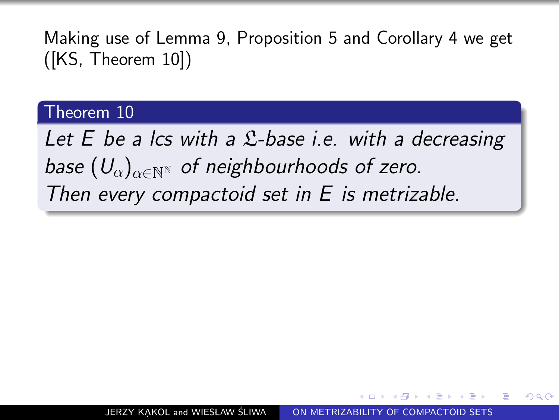#### Theorem 10

Let  $E$  be a lcs with a  $\mathfrak{L}$ -base i.e. with a decreasing base  $(U_{\alpha})_{\alpha\in\mathbb{N}^{N}}$  of neighbourhoods of zero. Then every compactoid set in E is metrizable.

ഹൈ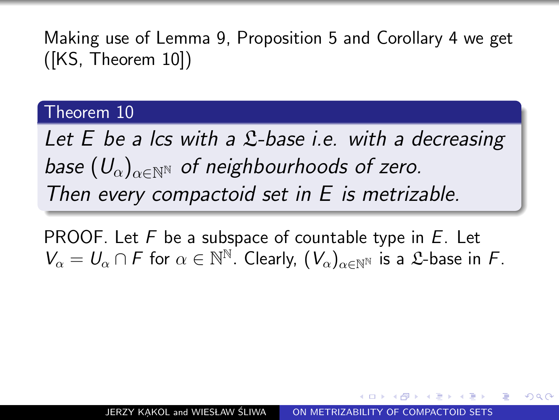#### Theorem 10

Let  $E$  be a lcs with a  $\mathfrak{L}$ -base i.e. with a decreasing base  $(U_{\alpha})_{\alpha \in \mathbb{N}^{\mathbb{N}}}$  of neighbourhoods of zero. Then every compactoid set in E is metrizable.

**PROOF.** Let F be a subspace of countable type in  $E$ . Let  $V_{\alpha} = U_{\alpha} \cap F$  for  $\alpha \in \mathbb{N}^{\mathbb{N}}$ . Clearly,  $(V_{\alpha})_{\alpha \in \mathbb{N}^{\mathbb{N}}}$  is a £-base in F.

 $\Omega$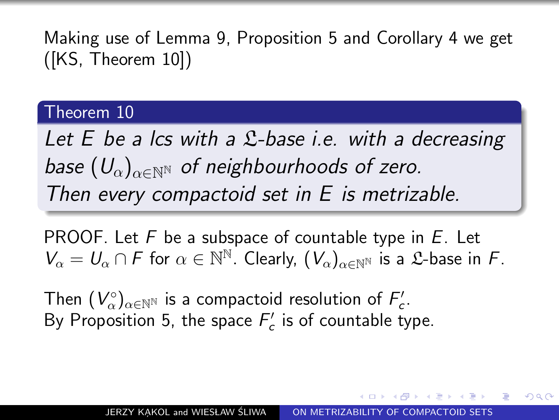#### Theorem 10

Let  $E$  be a lcs with a  $\mathfrak{L}$ -base i.e. with a decreasing base  $(U_{\alpha})_{\alpha\in\mathbb{N}^{\mathbb{N}}}$  of neighbourhoods of zero. Then every compactoid set in E is metrizable.

**PROOF.** Let F be a subspace of countable type in  $E$ . Let  $V_{\alpha} = U_{\alpha} \cap F$  for  $\alpha \in \mathbb{N}^{\mathbb{N}}$ . Clearly,  $(V_{\alpha})_{\alpha \in \mathbb{N}^{\mathbb{N}}}$  is a £-base in F.

Then  $(V_\alpha^\circ)_{\alpha\in\mathbb{N}^\mathbb{N}}$  is a compactoid resolution of  $F_c'$ . By Proposition 5, the space  $F_c'$  is of countable type.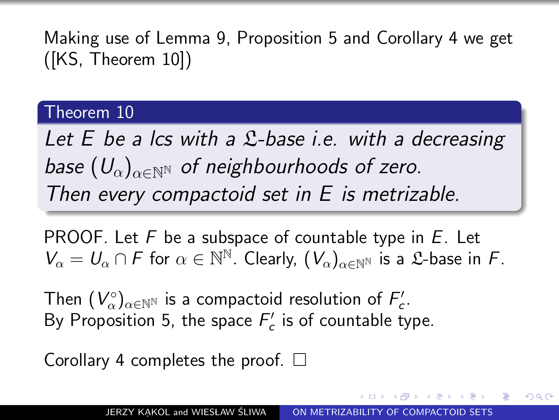#### Theorem 10

Let  $E$  be a lcs with a  $\mathfrak{L}$ -base i.e. with a decreasing base  $(U_{\alpha})_{\alpha\in\mathbb{N}^{\mathbb{N}}}$  of neighbourhoods of zero. Then every compactoid set in E is metrizable.

**PROOF.** Let F be a subspace of countable type in  $E$ . Let  $V_{\alpha} = U_{\alpha} \cap F$  for  $\alpha \in \mathbb{N}^{\mathbb{N}}$ . Clearly,  $(V_{\alpha})_{\alpha \in \mathbb{N}^{\mathbb{N}}}$  is a £-base in F.

Then  $(V_\alpha^\circ)_{\alpha\in\mathbb{N}^\mathbb{N}}$  is a compactoid resolution of  $F_c'$ . By Proposition 5, the space  $F_c'$  is of countable type.

<span id="page-60-0"></span>Corollary 4 completes the proof.  $\Box$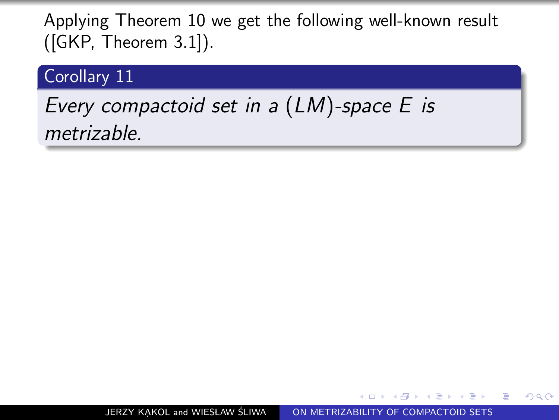#### Corollary 11

# <span id="page-61-0"></span>Every compactoid set in a (LM)-space E is metrizable.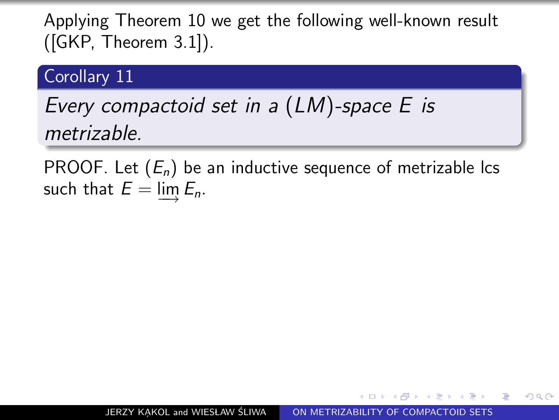#### Corollary<sub>11</sub>

# Every compactoid set in a (LM)-space E is metrizable.

PROOF. Let  $(E_n)$  be an inductive sequence of metrizable lcs such that  $E = \varinjlim E_n$ .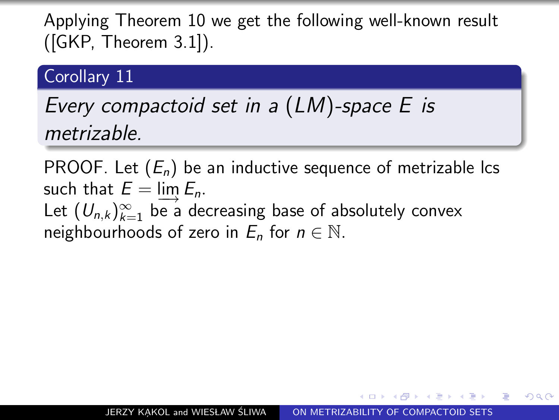#### Corollary 11

# Every compactoid set in a (LM)-space E is metrizable.

PROOF. Let  $(E_n)$  be an inductive sequence of metrizable lcs such that  $E = \lim_{n \to \infty} E_n$ . Let  $(U_{n,k})_{k=1}^{\infty}$  be a decreasing base of absolutely convex neighbourhoods of zero in  $E_n$  for  $n \in \mathbb{N}$ .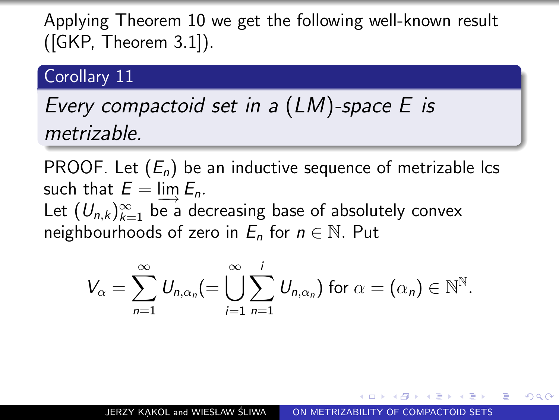#### Corollary 11

## Every compactoid set in a (LM)-space E is metrizable.

PROOF. Let  $(E_n)$  be an inductive sequence of metrizable lcs such that  $E = \lim_{n \to \infty} E_n$ . Let  $(U_{n,k})_{k=1}^{\infty}$  be a decreasing base of absolutely convex neighbourhoods of zero in  $E_n$  for  $n \in \mathbb{N}$ . Put

$$
V_{\alpha} = \sum_{n=1}^{\infty} U_{n,\alpha_n} (=\bigcup_{i=1}^{\infty} \sum_{n=1}^{i} U_{n,\alpha_n}) \text{ for } \alpha = (\alpha_n) \in \mathbb{N}^{\mathbb{N}}.
$$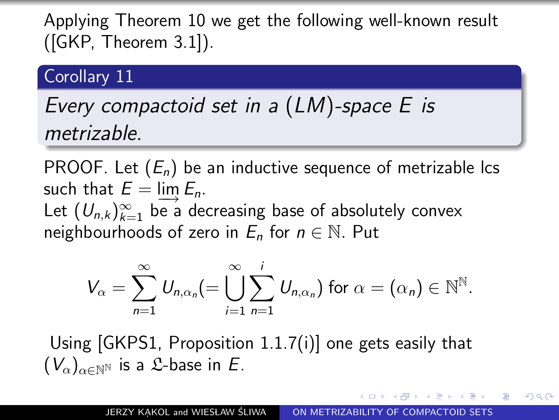#### Corollary 11

# Every compactoid set in a (LM)-space E is metrizable.

PROOF. Let  $(E_n)$  be an inductive sequence of metrizable lcs such that  $E = \lim_{n \to \infty} E_n$ . Let  $(U_{n,k})_{k=1}^{\infty}$  be a decreasing base of absolutely convex neighbourhoods of zero in  $E_n$  for  $n \in \mathbb{N}$ . Put

<span id="page-65-0"></span>
$$
V_{\alpha} = \sum_{n=1}^{\infty} U_{n,\alpha_n} (=\bigcup_{i=1}^{\infty} \sum_{n=1}^{i} U_{n,\alpha_n}) \text{ for } \alpha = (\alpha_n) \in \mathbb{N}^{\mathbb{N}}.
$$

Using [GKPS1, Proposition 1.1.7(i)] one gets easily that  $(V_{\alpha})_{\alpha \in \mathbb{N}}$  is a *L*-base in *E*.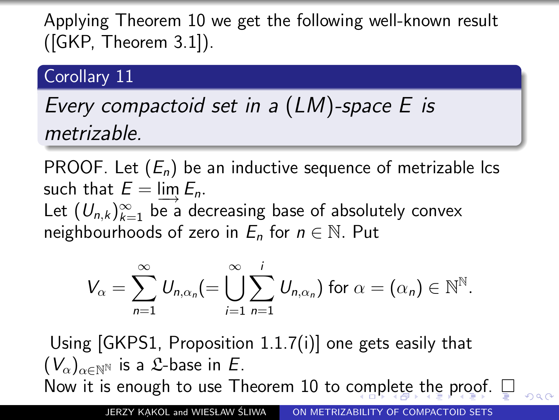### Corollary<sub>11</sub>

# Every compactoid set in a (LM)-space E is metrizable.

PROOF. Let  $(E_n)$  be an inductive sequence of metrizable lcs such that  $E = \lim_{n \to \infty} E_n$ . Let  $(U_{n,k})_{k=1}^{\infty}$  be a decreasing base of absolutely convex neighbourhoods of zero in  $E_n$  for  $n \in \mathbb{N}$ . Put

<span id="page-66-0"></span>
$$
V_{\alpha} = \sum_{n=1}^{\infty} U_{n,\alpha_n} (=\bigcup_{i=1}^{\infty} \sum_{n=1}^{i} U_{n,\alpha_n}) \text{ for } \alpha = (\alpha_n) \in \mathbb{N}^{\mathbb{N}}.
$$

Using [GKPS1, Proposition 1.1.7(i)] one gets easily that  $(V_{\alpha})_{\alpha \in \mathbb{N}}$  is a *L*-base in *E*. Now it is enough to use Theorem 10 to c[om](#page-65-0)[pl](#page-67-0)[e](#page-66-0)[t](#page-61-0)e[the](#page-0-0) [p](#page-125-0)[ro](#page-0-0)[of](#page-125-0)[.](#page-0-0)  $\square$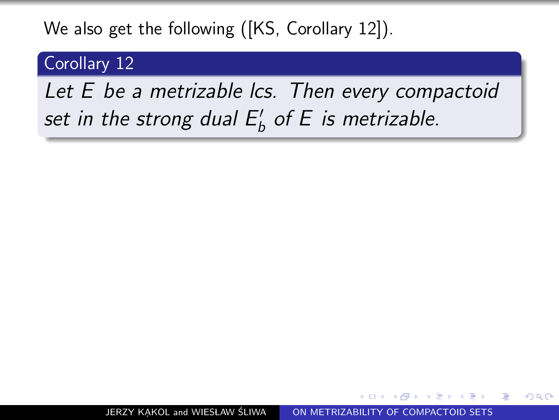### We also get the following ([KS, Corollary 12]).

## Corollary 12

# <span id="page-67-0"></span>Let E be a metrizable lcs. Then every compactoid set in the strong dual  $E_b'$  of E is metrizable.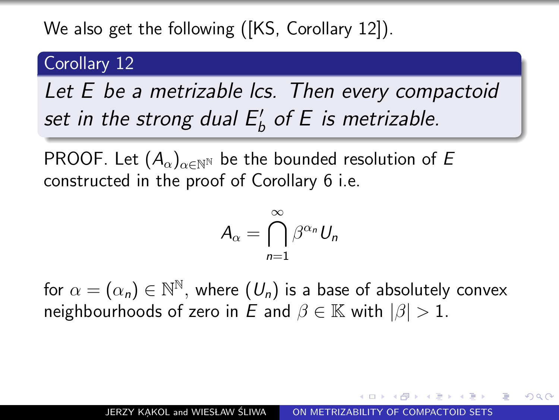## We also get the following ([KS, Corollary 12]).

## Corollary<sub>12</sub>

Let E be a metrizable lcs. Then every compactoid set in the strong dual  $E_b'$  of E is metrizable.

PROOF. Let  $(A_\alpha)_{\alpha \in \mathbb{N}^{\mathbb{N}}}$  be the bounded resolution of E constructed in the proof of Corollary 6 i.e.

$$
A_{\alpha}=\bigcap_{n=1}^{\infty}\beta^{\alpha_n}U_n
$$

for  $\alpha=(\alpha_{\textit{n}})\in{\mathbb{N}}^{\mathbb{N}},$  where  $(\textit{U}_{\textit{n}})$  is a base of absolutely convex neighbourhoods of zero in E and  $\beta \in \mathbb{K}$  with  $|\beta| > 1$ .

つへい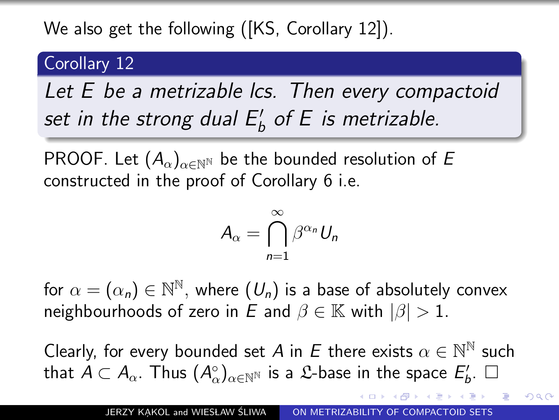## We also get the following ([KS, Corollary 12]).

## Corollary<sub>12</sub>

Let E be a metrizable lcs. Then every compactoid set in the strong dual  $E_b'$  of E is metrizable.

PROOF. Let  $(A_\alpha)_{\alpha \in \mathbb{N}^{\mathbb{N}}}$  be the bounded resolution of E constructed in the proof of Corollary 6 i.e.

$$
A_{\alpha}=\bigcap_{n=1}^{\infty}\beta^{\alpha_n}U_n
$$

for  $\alpha=(\alpha_{\textit{n}})\in{\mathbb{N}}^{\mathbb{N}},$  where  $(\textit{U}_{\textit{n}})$  is a base of absolutely convex neighbourhoods of zero in E and  $\beta \in \mathbb{K}$  with  $|\beta| > 1$ .

Clearly, for every bounded set A in E there exists  $\alpha \in \mathbb{N}^{\mathbb{N}}$  such that  $A\subset A_\alpha.$  Thus  $(A_\alpha^\circ)_{\alpha\in{\mathbb N}^{\mathbb N}}$  is a  ${\mathfrak L}$ -base in the space  $E'_b.$   $\Box$ 

 $QQ$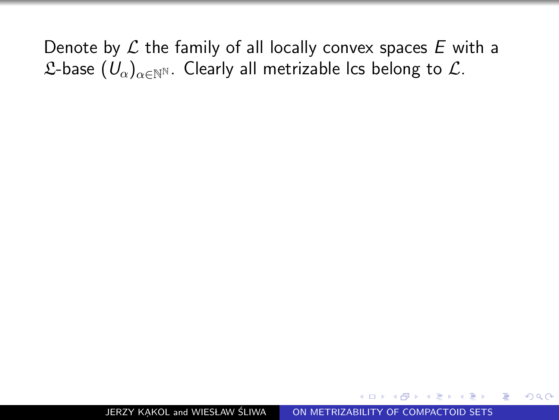Denote by  $\mathcal L$  the family of all locally convex spaces  $E$  with a  $\mathcal{L}$ -base  $(U_{\alpha})_{\alpha \in \mathbb{N}^{\mathbb{N}}}$ . Clearly all metrizable lcs belong to  $\mathcal{L}$ .

 $2990$ 

曲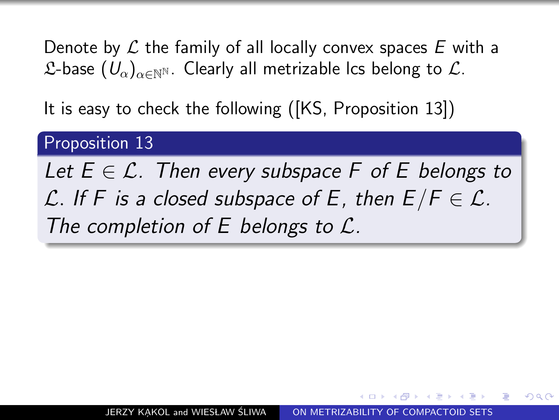Denote by  $\mathcal L$  the family of all locally convex spaces E with a  $\mathcal{L}$ -base  $(U_{\alpha})_{\alpha \in \mathbb{N}}$ . Clearly all metrizable lcs belong to  $\mathcal{L}$ .

It is easy to check the following ([KS, Proposition 13])

## Proposition 13

Let  $E \in \mathcal{L}$ . Then every subspace F of E belongs to L. If F is a closed subspace of E, then  $E/F \in \mathcal{L}$ . The completion of E belongs to  $\mathcal{L}$ .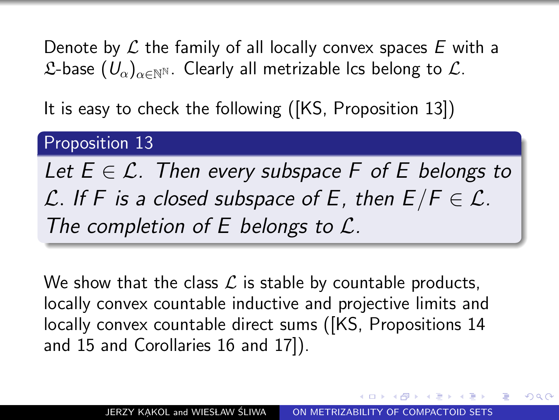Denote by  $\mathcal L$  the family of all locally convex spaces E with a  $\mathcal{L}$ -base  $(U_{\alpha})_{\alpha \in \mathbb{N}}$ . Clearly all metrizable lcs belong to  $\mathcal{L}$ .

It is easy to check the following ([KS, Proposition 13])

### Proposition 13

Let  $E \in \mathcal{L}$ . Then every subspace F of E belongs to L. If F is a closed subspace of E, then  $E/F \in \mathcal{L}$ . The completion of  $E$  belongs to  $\mathcal{L}$ .

We show that the class  $\mathcal L$  is stable by countable products, locally convex countable inductive and projective limits and locally convex countable direct sums ([KS, Propositions 14 and 15 and Corollaries 16 and 17]).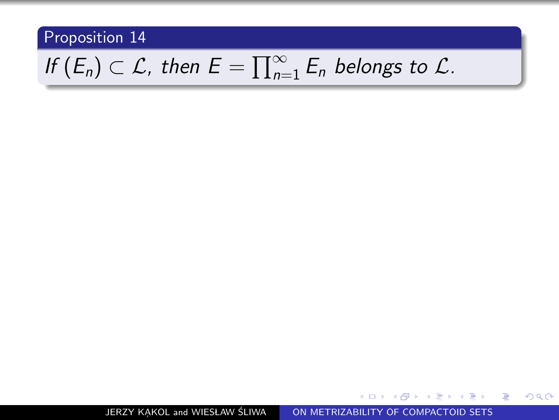# If  $(E_n) \subset \mathcal{L}$ , then  $E = \prod_{n=1}^{\infty} E_n$  belongs to  $\mathcal{L}$ .

JERZY KAKOL and WIESŁAW ŚLIWA [ON METRIZABILITY OF COMPACTOID SETS](#page-0-0)

- K 로 K K 로 K H 로

 $\sim$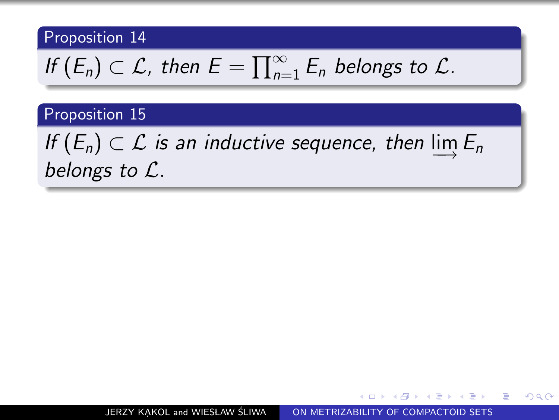If 
$$
(E_n) \subset \mathcal{L}
$$
, then  $E = \prod_{n=1}^{\infty} E_n$  belongs to  $\mathcal{L}$ .

#### Proposition 15

If  $(E_n) \subset \mathcal{L}$  is an inductive sequence, then  $\varinjlim E_n$ belongs to L.

化重复 化重变

э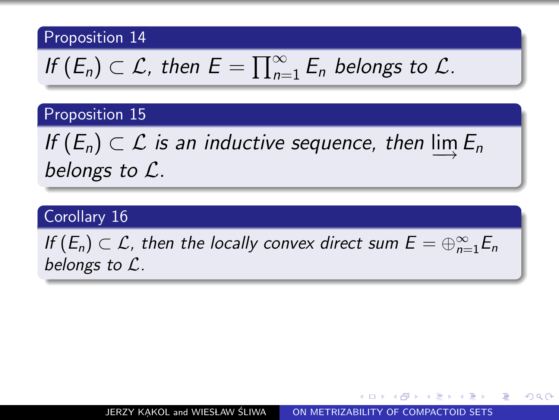If 
$$
(E_n) \subset \mathcal{L}
$$
, then  $E = \prod_{n=1}^{\infty} E_n$  belongs to  $\mathcal{L}$ .

#### Proposition 15

If  $(E_n) \subset \mathcal{L}$  is an inductive sequence, then  $\varinjlim E_n$ belongs to L.

#### Corollary 16

If  $(E_n) \subset \mathcal{L}$ , then the locally convex direct sum  $E = \bigoplus_{n=1}^{\infty} E_n$ belongs to L.

つくい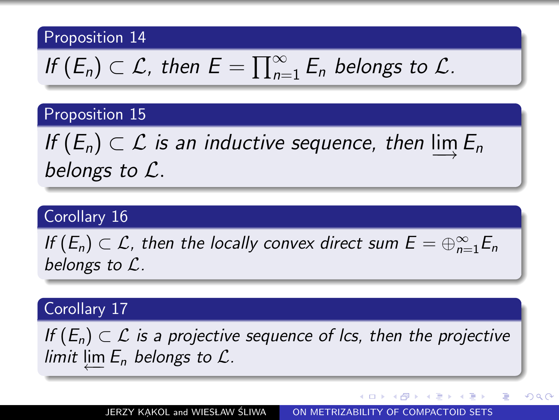If 
$$
(E_n) \subset \mathcal{L}
$$
, then  $E = \prod_{n=1}^{\infty} E_n$  belongs to  $\mathcal{L}$ .

#### Proposition 15

If  $(E_n) \subset \mathcal{L}$  is an inductive sequence, then  $\varinjlim E_n$ belongs to L.

#### Corollary 16

If  $(E_n) \subset \mathcal{L}$ , then the locally convex direct sum  $E = \bigoplus_{n=1}^{\infty} E_n$ belongs to L.

#### Corollary 17

If  $(E_n) \subset \mathcal{L}$  is a projective sequence of lcs, then the projective limit  $\varprojlim E_n$  belongs to  $\mathcal{L}$ .

JERZY KAKOL and WIESŁAW ŚLIWA [ON METRIZABILITY OF COMPACTOID SETS](#page-0-0)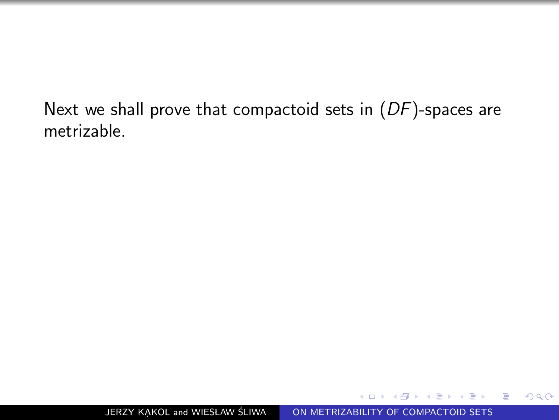Next we shall prove that compactoid sets in  $(DF)$ -spaces are metrizable.

つくへ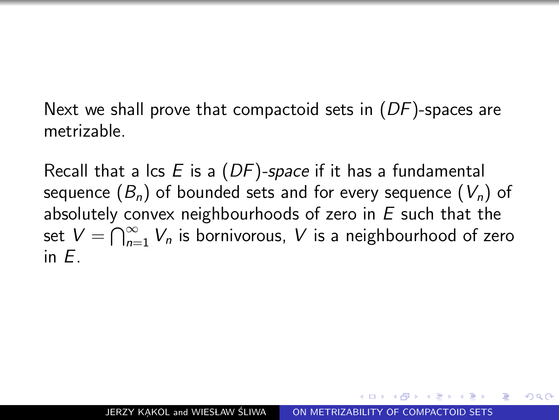Next we shall prove that compactoid sets in  $(DF)$ -spaces are metrizable.

Recall that a lcs  $E$  is a  $(DF)$ -space if it has a fundamental sequence  $(B_n)$  of bounded sets and for every sequence  $(V_n)$  of absolutely convex neighbourhoods of zero in  $E$  such that the set  $V = \bigcap_{n=1}^{\infty} V_n$  is bornivorous,  $V$  is a neighbourhood of zero in E.

 $\Omega$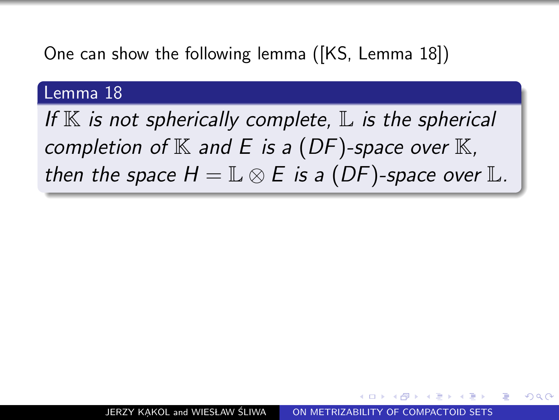One can show the following lemma ([KS, Lemma 18])

#### Lemma 18

If  $K$  is not spherically complete,  $L$  is the spherical completion of  $K$  and E is a (DF)-space over  $K$ , then the space  $H = \mathbb{L} \otimes E$  is a (DF)-space over  $\mathbb{L}$ .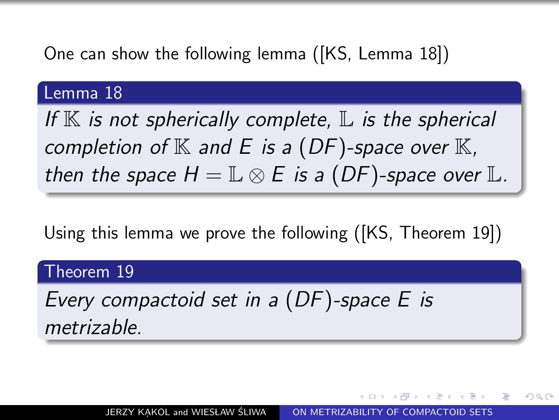One can show the following lemma ([KS, Lemma 18])

#### Lemma 18

If  $K$  is not spherically complete,  $L$  is the spherical completion of  $K$  and E is a (DF)-space over  $K$ , then the space  $H = \mathbb{L} \otimes E$  is a (DF)-space over  $\mathbb{L}$ .

Using this lemma we prove the following ([KS, Theorem 19])

#### Theorem 19

Every compactoid set in a (DF)-space E is metrizable.

ഹൈ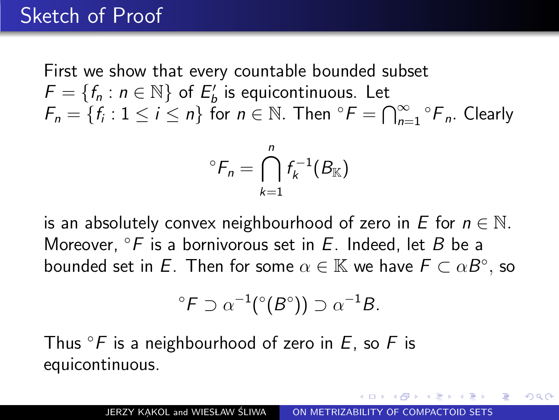First we show that every countable bounded subset  $F = \{f_n : n \in \mathbb{N}\}$  of  $E'_b$  is equicontinuous. Let  $F_n = \{f_i : 1 \leq i \leq n\}$  for  $n \in \mathbb{N}$ . Then  ${}^{\circ}F = \bigcap_{n=1}^{\infty} {}^{\circ}F_n$ . Clearly

$$
{}^{\circ}F_n = \bigcap_{k=1}^n f_k^{-1}(B_{\mathbb K})
$$

is an absolutely convex neighbourhood of zero in E for  $n \in \mathbb{N}$ . Moreover,  $\partial F$  is a bornivorous set in E. Indeed, let B be a bounded set in  $\bar E$ . Then for some  $\alpha\in\mathbb{K}$  we have  $\bar F\subset \alpha B^\circ,$  so

$$
{}^{\circ}F \supset \alpha^{-1}({}^{\circ}(B^{\circ})) \supset \alpha^{-1}B.
$$

Thus  $\mathscr{F}$  is a neighbourhood of zero in E, so F is equicontinuous.

つくい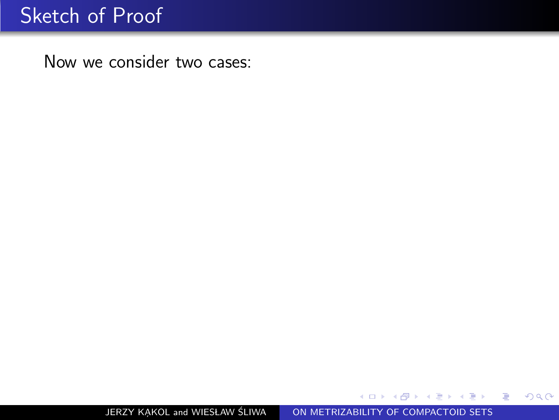$299$ 

活

Пb.

 $\sim$ э

Ξ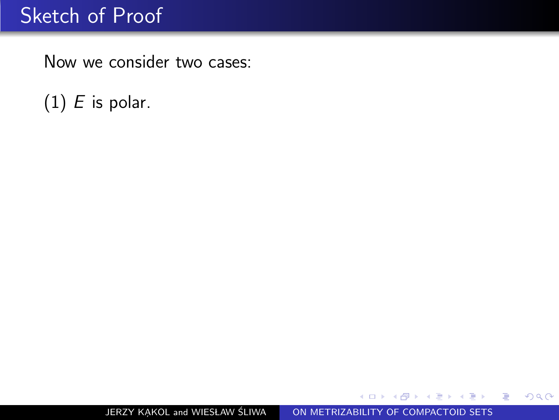$(1)$  *E* is polar.

 $299$ 

重

ヨメ イヨメ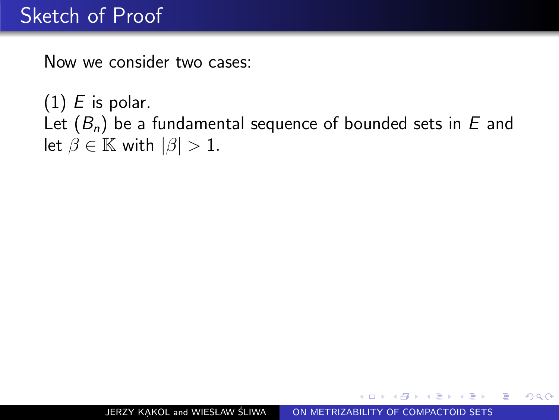$(1)$  *E* is polar. Let  $(B_n)$  be a fundamental sequence of bounded sets in E and let  $\beta \in \mathbb{K}$  with  $|\beta| > 1$ .

つくい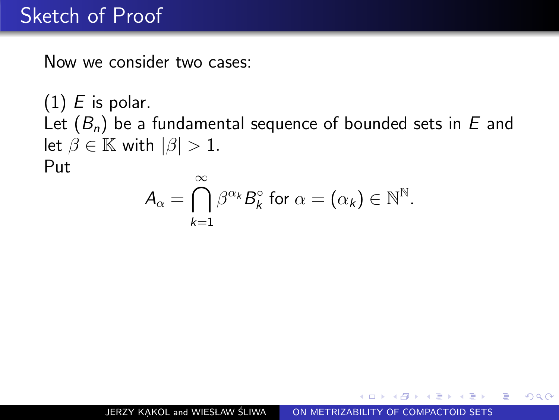$(1)$  *E* is polar. Let  $(B_n)$  be a fundamental sequence of bounded sets in E and let  $\beta \in \mathbb{K}$  with  $|\beta| > 1$ . Put  $\infty$ 

$$
A_{\alpha} = \bigcap_{k=1}^{\infty} \beta^{\alpha_k} B_k^{\circ} \text{ for } \alpha = (\alpha_k) \in \mathbb{N}^{\mathbb{N}}.
$$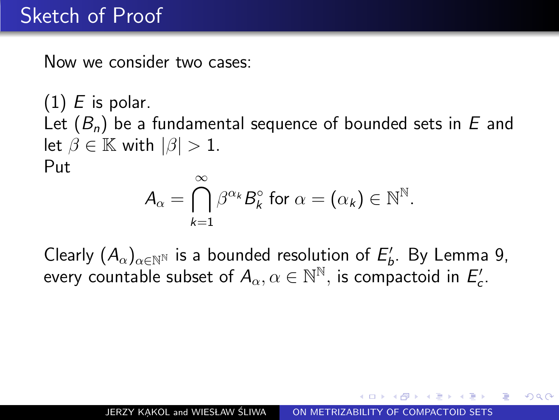$(1)$  E is polar. Let  $(B_n)$  be a fundamental sequence of bounded sets in E and let  $\beta \in \mathbb{K}$  with  $|\beta| > 1$ . Put

$$
A_{\alpha} = \bigcap_{k=1}^{\infty} \beta^{\alpha_k} B_k^{\circ} \text{ for } \alpha = (\alpha_k) \in \mathbb{N}^{\mathbb{N}}.
$$

Clearly  $(A_\alpha)_{\alpha\in\mathbb{N}^\mathbb{N}}$  is a bounded resolution of  $E'_b$ . By Lemma 9, every countable subset of  $A_{\alpha}, \alpha \in \mathbb{N}^{\mathbb{N}},$  is compactoid in  $E'_{c}$ .

つくい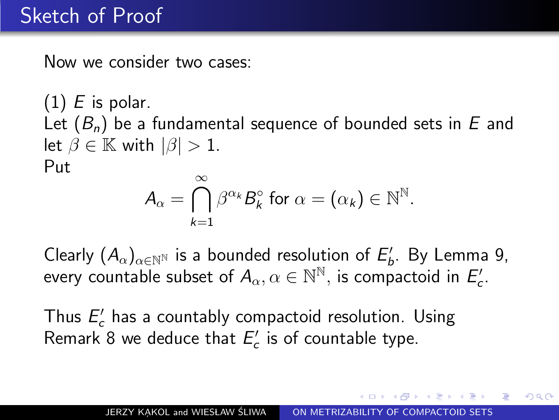$(1)$  E is polar. Let  $(B_n)$  be a fundamental sequence of bounded sets in E and let  $\beta \in \mathbb{K}$  with  $|\beta| > 1$ . Put

$$
A_{\alpha} = \bigcap_{k=1}^{\infty} \beta^{\alpha_k} B_k^{\circ} \text{ for } \alpha = (\alpha_k) \in \mathbb{N}^{\mathbb{N}}.
$$

Clearly  $(A_\alpha)_{\alpha\in\mathbb{N}^\mathbb{N}}$  is a bounded resolution of  $E'_b$ . By Lemma 9, every countable subset of  $A_{\alpha}, \alpha \in \mathbb{N}^{\mathbb{N}},$  is compactoid in  $E'_{c}$ .

Thus  $E_c'$  has a countably compactoid resolution. Using Remark 8 we deduce that  $E_c^{\prime}$  is of countable type.

つくい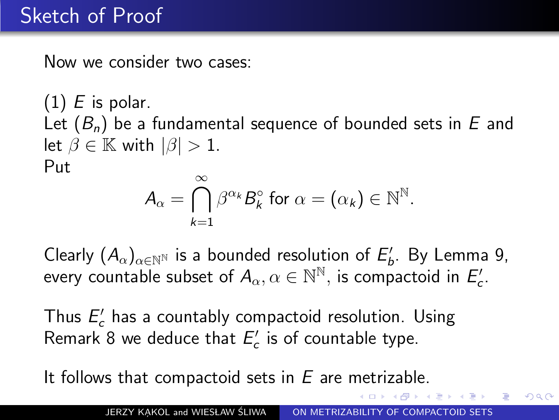$(1)$  E is polar. Let  $(B_n)$  be a fundamental sequence of bounded sets in E and let  $\beta \in \mathbb{K}$  with  $|\beta| > 1$ . Put

$$
A_{\alpha} = \bigcap_{k=1}^{\infty} \beta^{\alpha_k} B_k^{\circ} \text{ for } \alpha = (\alpha_k) \in \mathbb{N}^{\mathbb{N}}.
$$

Clearly  $(A_\alpha)_{\alpha\in\mathbb{N}^\mathbb{N}}$  is a bounded resolution of  $E'_b$ . By Lemma 9, every countable subset of  $A_{\alpha}, \alpha \in \mathbb{N}^{\mathbb{N}},$  is compactoid in  $E'_{c}$ .

Thus  $E_c'$  has a countably compactoid resolution. Using Remark 8 we deduce that  $E_c^{\prime}$  is of countable type.

It follows that compactoid sets in  $E$  are metrizable.

 $\Omega$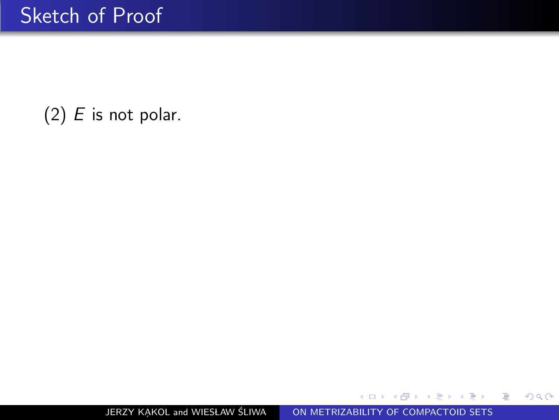$299$ 

活 -b

э  $\sim$ э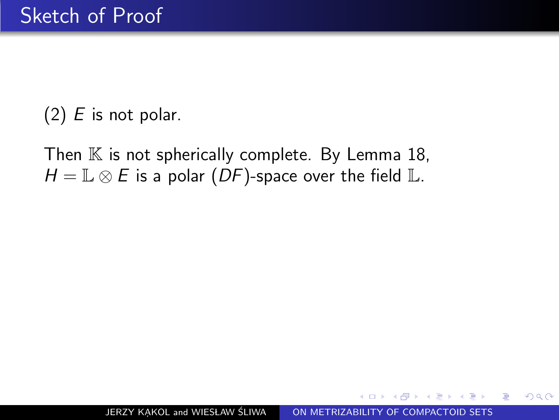Then  $K$  is not spherically complete. By Lemma 18,  $H = \mathbb{L} \otimes E$  is a polar (DF)-space over the field  $\mathbb{L}$ .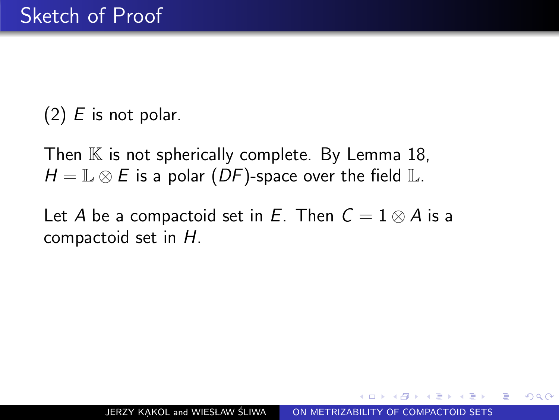Then  $K$  is not spherically complete. By Lemma 18,  $H = \mathbb{L} \otimes E$  is a polar  $(DF)$ -space over the field  $\mathbb{L}$ .

Let A be a compactoid set in E. Then  $C = 1 \otimes A$  is a compactoid set in H.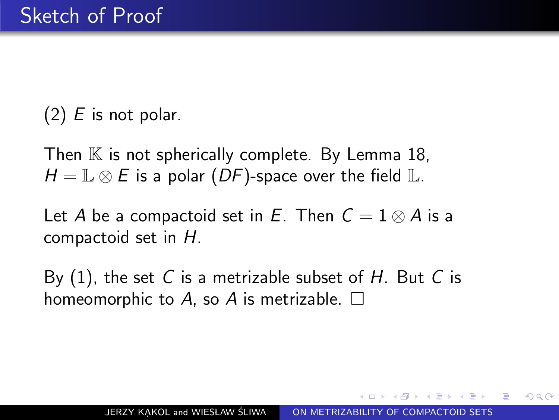Then  $\mathbb K$  is not spherically complete. By Lemma 18,  $H = \mathbb{L} \otimes E$  is a polar (DF)-space over the field  $\mathbb{L}$ .

Let A be a compactoid set in E. Then  $C = 1 \otimes A$  is a compactoid set in H.

By  $(1)$ , the set C is a metrizable subset of H. But C is homeomorphic to A, so A is metrizable.  $\square$ 

つくい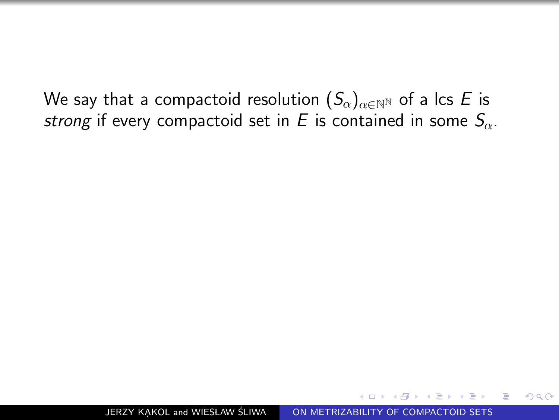We say that a compactoid resolution  $(S_{\alpha})_{\alpha \in \mathbb{N}^{\mathbb{N}}}$  of a lcs E is strong if every compactoid set in E is contained in some  $S_{\alpha}$ .

JERZY KAKOL and WIESŁAW ŚLIWA | [ON METRIZABILITY OF COMPACTOID SETS](#page-0-0)

 $\Omega$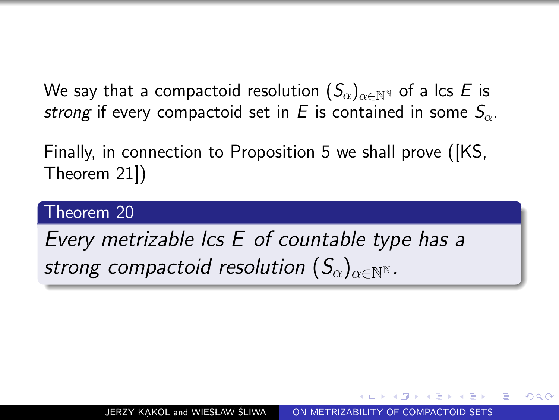We say that a compactoid resolution  $(S_{\alpha})_{\alpha \in \mathbb{N}^{\mathbb{N}}}$  of a lcs E is strong if every compactoid set in E is contained in some  $S_{\alpha}$ .

Finally, in connection to [Proposition 5](#page-40-0) we shall prove ([KS, Theorem 21])

#### Theorem 20

Every metrizable lcs E of countable type has a strong compactoid resolution  $(S_{\alpha})_{\alpha\in\mathbb{N}}$ N.

ഹൈ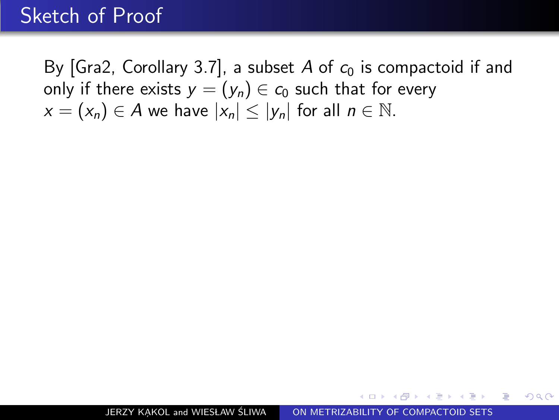By [Gra2, Corollary 3.7], a subset A of  $c_0$  is compactoid if and only if there exists  $y = (y_n) \in c_0$  such that for every  $x = (x_n) \in A$  we have  $|x_n| \le |y_n|$  for all  $n \in \mathbb{N}$ .

 $\Omega$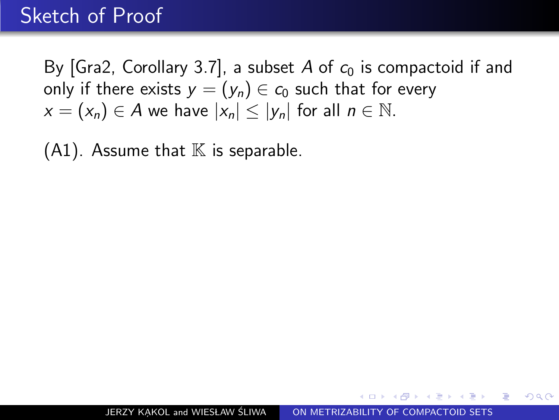By [Gra2, Corollary 3.7], a subset A of  $c_0$  is compactoid if and only if there exists  $y = (y_n) \in c_0$  such that for every  $x = (x_n) \in A$  we have  $|x_n| \le |y_n|$  for all  $n \in \mathbb{N}$ .

 $(A1)$ . Assume that  $\mathbb K$  is separable.

 $\Omega$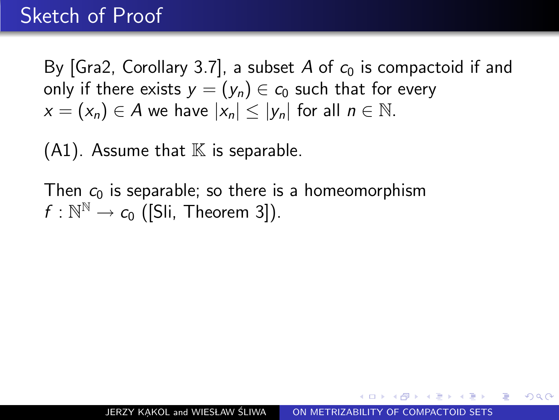By [Gra2, Corollary 3.7], a subset A of  $c_0$  is compactoid if and only if there exists  $y = (y_n) \in c_0$  such that for every  $x = (x_n) \in A$  we have  $|x_n| \le |y_n|$  for all  $n \in \mathbb{N}$ .

 $(A1)$ . Assume that  $\mathbb K$  is separable.

Then  $c_0$  is separable; so there is a homeomorphism  $f: \mathbb{N}^{\mathbb{N}} \to c_0$  ([Sli, Theorem 3]).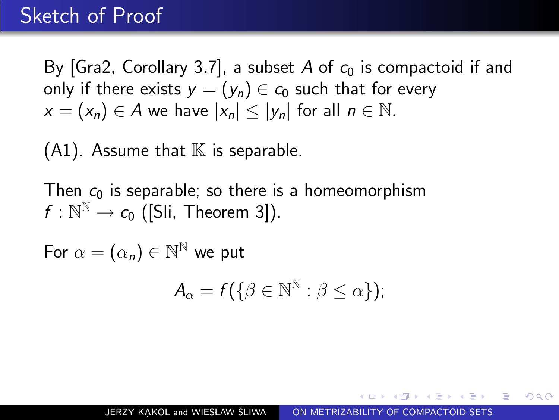By [Gra2, Corollary 3.7], a subset A of  $c_0$  is compactoid if and only if there exists  $y = (y_n) \in c_0$  such that for every  $x = (x_n) \in A$  we have  $|x_n| \le |y_n|$  for all  $n \in \mathbb{N}$ .

 $(A1)$ . Assume that  $\mathbb K$  is separable.

Then  $c_0$  is separable; so there is a homeomorphism  $f: \mathbb{N}^{\mathbb{N}} \to c_0$  ([Sli, Theorem 3]).

For  $\alpha = (\alpha_n) \in \mathbb{N}^{\mathbb{N}}$  we put

$$
A_{\alpha} = f(\{\beta \in \mathbb{N}^{\mathbb{N}} : \beta \leq \alpha\});
$$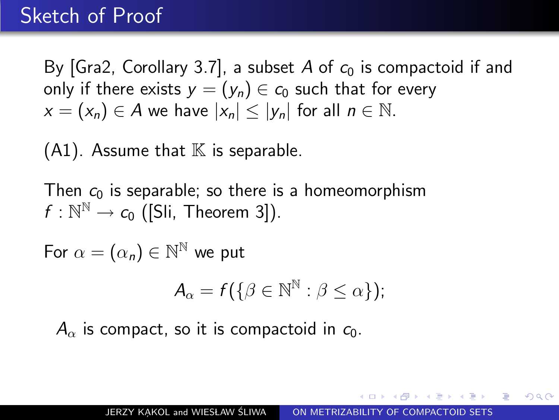By [Gra2, Corollary 3.7], a subset A of  $c_0$  is compactoid if and only if there exists  $y = (y_n) \in c_0$  such that for every  $x = (x_n) \in A$  we have  $|x_n| < |y_n|$  for all  $n \in \mathbb{N}$ .

 $(A1)$ . Assume that  $\mathbb K$  is separable.

Then  $c_0$  is separable; so there is a homeomorphism  $f: \mathbb{N}^{\mathbb{N}} \to c_0$  ([Sli, Theorem 3]).

For  $\alpha = (\alpha_n) \in \mathbb{N}^{\mathbb{N}}$  we put

$$
A_{\alpha}=f(\{\beta\in\mathbb{N}^{\mathbb{N}}:\beta\leq\alpha\});
$$

 $A_{\alpha}$  is compact, so it is compactoid in  $c_0$ .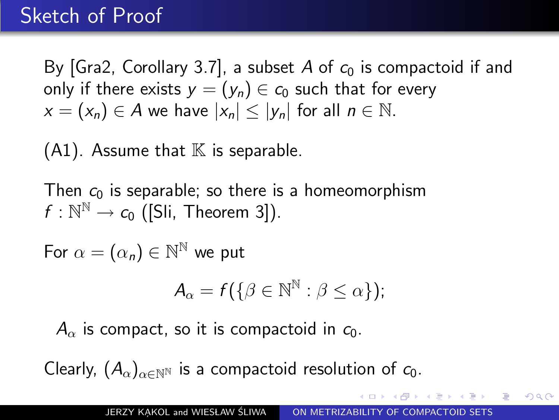By [Gra2, Corollary 3.7], a subset A of  $c_0$  is compactoid if and only if there exists  $y = (y_n) \in c_0$  such that for every  $x = (x_n) \in A$  we have  $|x_n| < |y_n|$  for all  $n \in \mathbb{N}$ .

 $(A1)$ . Assume that  $\mathbb K$  is separable.

Then  $c_0$  is separable; so there is a homeomorphism  $f: \mathbb{N}^{\mathbb{N}} \to c_0$  ([Sli, Theorem 3]).

For  $\alpha = (\alpha_n) \in \mathbb{N}^{\mathbb{N}}$  we put

$$
A_{\alpha}=f(\{\beta\in\mathbb{N}^{\mathbb{N}}:\beta\leq\alpha\});
$$

 $A_{\alpha}$  is compact, so it is compactoid in  $c_0$ .

Clearly,  $(A_{\alpha})_{\alpha \in \mathbb{N}^{\mathbb{N}}}$  is a compactoid resolution of  $c_0$ .

 $\Omega$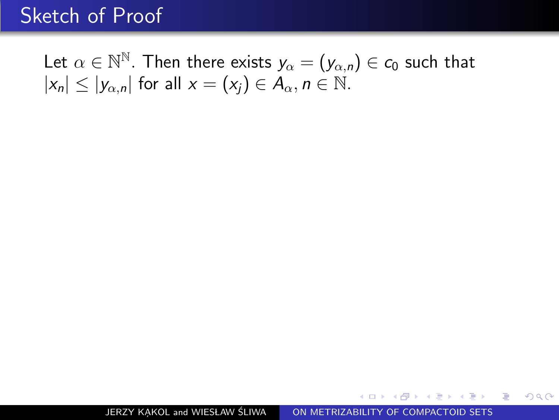Let  $\alpha \in \mathbb{N}^\mathbb{N}$ . Then there exists  $y_\alpha = (y_{\alpha,n}) \in c_0$  such that  $|x_n| \le |y_{\alpha,n}|$  for all  $x = (x_i) \in A_\alpha, n \in \mathbb{N}$ .

化重新润滑脂

重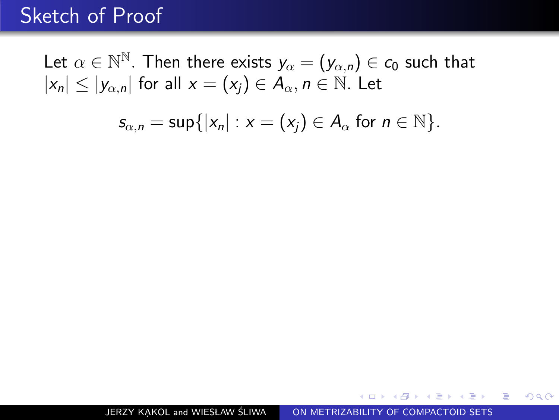Let  $\alpha \in \mathbb{N}^\mathbb{N}$ . Then there exists  $y_\alpha = (y_{\alpha,n}) \in c_0$  such that  $|x_n| \le |y_{\alpha,n}|$  for all  $x = (x_i) \in A_\alpha, n \in \mathbb{N}$ . Let

$$
s_{\alpha,n}=\sup\{|x_n|:x=(x_j)\in A_\alpha \text{ for } n\in\mathbb{N}\}.
$$

医单位 医单位

重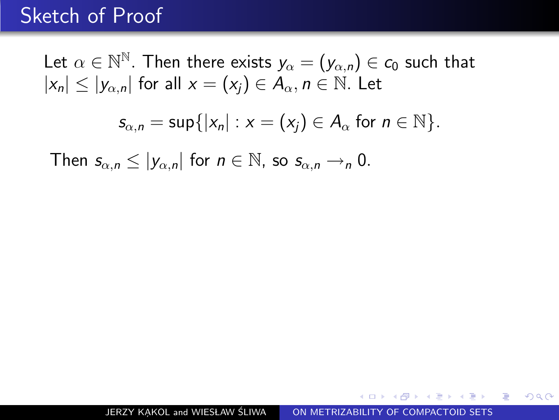Let  $\alpha \in \mathbb{N}^\mathbb{N}$ . Then there exists  $y_\alpha = (y_{\alpha,n}) \in c_0$  such that  $|x_n| \le |y_{\alpha,n}|$  for all  $x = (x_i) \in A_\alpha, n \in \mathbb{N}$ . Let

$$
s_{\alpha,n}=\sup\{|x_n|:x=(x_j)\in A_\alpha \text{ for } n\in\mathbb{N}\}.
$$

Then  $s_{\alpha,n} \leq |y_{\alpha,n}|$  for  $n \in \mathbb{N}$ , so  $s_{\alpha,n} \rightarrow n$  0.

Andreas Andrews Street

重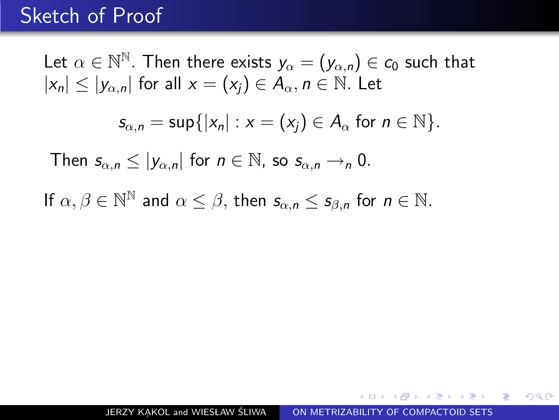Let  $\alpha \in \mathbb{N}^\mathbb{N}$ . Then there exists  $y_\alpha = (y_{\alpha,n}) \in c_0$  such that  $|x_n| \le |y_{\alpha,n}|$  for all  $x = (x_i) \in A_\alpha, n \in \mathbb{N}$ . Let  $s_{\alpha,n} = \sup\{|x_n| : x = (x_i) \in A_\alpha \text{ for } n \in \mathbb{N}\}.$ Then  $s_{\alpha,n} \leq |y_{\alpha,n}|$  for  $n \in \mathbb{N}$ , so  $s_{\alpha,n} \to_p 0$ . If  $\alpha, \beta \in \mathbb{N}^{\mathbb{N}}$  and  $\alpha \leq \beta$ , then  $s_{\alpha,n} \leq s_{\beta,n}$  for  $n \in \mathbb{N}$ .

 $299$ 

 $\equiv$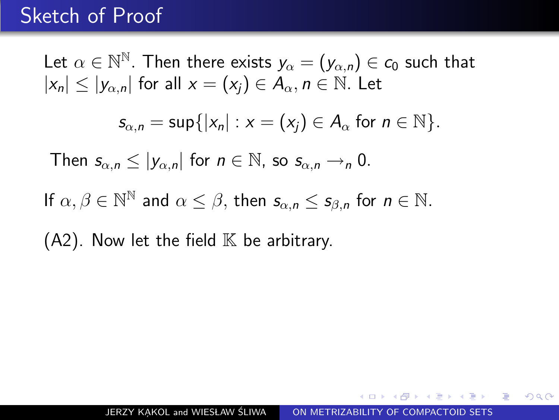Let  $\alpha \in \mathbb{N}^\mathbb{N}$ . Then there exists  $y_\alpha = (y_{\alpha,n}) \in c_0$  such that  $|x_n| \leq |y_{\alpha,n}|$  for all  $x = (x_i) \in A_\alpha$ ,  $n \in \mathbb{N}$ . Let  $s_{\alpha,n} = \sup\{|x_n| : x = (x_i) \in A_\alpha \text{ for } n \in \mathbb{N}\}.$ Then  $s_{\alpha,n} \leq |y_{\alpha,n}|$  for  $n \in \mathbb{N}$ , so  $s_{\alpha,n} \to_p 0$ . If  $\alpha, \beta \in \mathbb{N}^{\mathbb{N}}$  and  $\alpha \leq \beta$ , then  $s_{\alpha,n} \leq s_{\beta,n}$  for  $n \in \mathbb{N}$ .  $(A2)$ . Now let the field  $\mathbb K$  be arbitrary.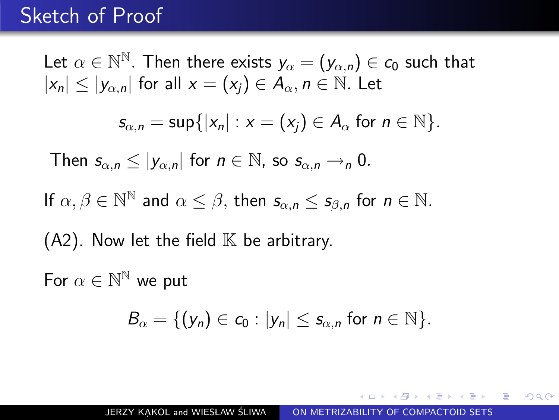Let  $\alpha \in \mathbb{N}^\mathbb{N}$ . Then there exists  $y_\alpha = (y_{\alpha,n}) \in c_0$  such that  $|x_n| \leq |y_{\alpha,n}|$  for all  $x = (x_i) \in A_\alpha$ ,  $n \in \mathbb{N}$ . Let  $s_{\alpha,n} = \sup\{|x_n| : x = (x_i) \in A_\alpha \text{ for } n \in \mathbb{N}\}.$ Then  $s_{\alpha,n} \leq |y_{\alpha,n}|$  for  $n \in \mathbb{N}$ , so  $s_{\alpha,n} \to_p 0$ . If  $\alpha, \beta \in \mathbb{N}^{\mathbb{N}}$  and  $\alpha \leq \beta$ , then  $s_{\alpha,n} \leq s_{\beta,n}$  for  $n \in \mathbb{N}$ .  $(A2)$ . Now let the field  $\mathbb K$  be arbitrary. For  $\alpha \in \mathbb{N}^\mathbb{N}$  we put  $B_{\alpha} = \{ (y_n) \in c_0 : |y_n| < s_{\alpha, n} \text{ for } n \in \mathbb{N} \}.$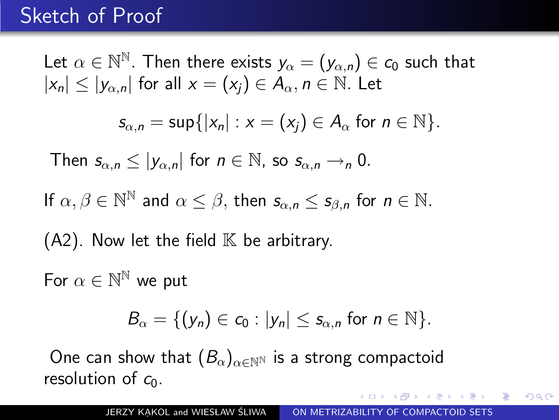Let  $\alpha \in \mathbb{N}^\mathbb{N}$ . Then there exists  $y_\alpha = (y_{\alpha,n}) \in c_0$  such that  $|x_n| \leq |y_{\alpha,n}|$  for all  $x = (x_i) \in A_\alpha$ ,  $n \in \mathbb{N}$ . Let  $s_{\alpha,n} = \sup\{|x_n| : x = (x_i) \in A_\alpha \text{ for } n \in \mathbb{N}\}.$ Then  $s_{\alpha,n} \leq |y_{\alpha,n}|$  for  $n \in \mathbb{N}$ , so  $s_{\alpha,n} \to_p 0$ . If  $\alpha, \beta \in \mathbb{N}^{\mathbb{N}}$  and  $\alpha \leq \beta$ , then  $s_{\alpha,n} \leq s_{\beta,n}$  for  $n \in \mathbb{N}$ .  $(A2)$ . Now let the field  $\mathbb K$  be arbitrary. For  $\alpha \in \mathbb{N}^\mathbb{N}$  we put  $B_{\alpha} = \{ (y_n) \in c_0 : |y_n| < s_{\alpha, n} \text{ for } n \in \mathbb{N} \}.$ One can show that  $(B_{\alpha})_{\alpha \in \mathbb{N}^{\mathbb{N}}}$  is a strong compactoid

resolution of  $c_0$ .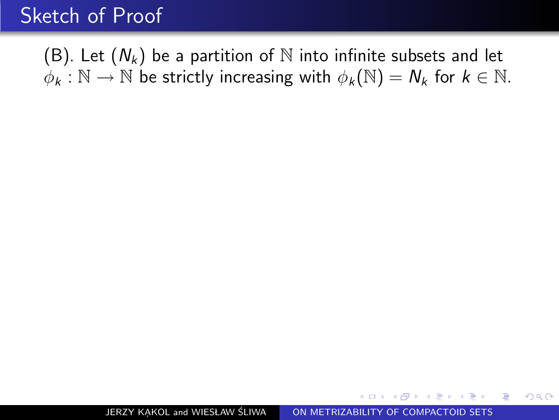(B). Let  $(N_k)$  be a partition of N into infinite subsets and let  $\phi_k : \mathbb{N} \to \mathbb{N}$  be strictly increasing with  $\phi_k(\mathbb{N}) = N_k$  for  $k \in \mathbb{N}$ .

**The Secret State State** 

重

<span id="page-108-0"></span> $\Omega$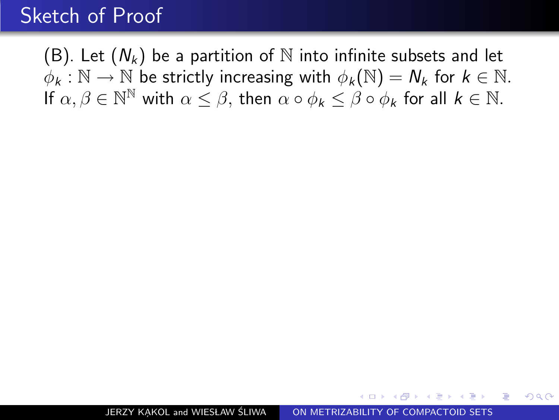(B). Let  $(N_k)$  be a partition of N into infinite subsets and let  $\phi_k : \mathbb{N} \to \mathbb{N}$  be strictly increasing with  $\phi_k(\mathbb{N}) = N_k$  for  $k \in \mathbb{N}$ . If  $\alpha, \beta \in \mathbb{N}^{\mathbb{N}}$  with  $\alpha \leq \beta$ , then  $\alpha \circ \phi_k \leq \beta \circ \phi_k$  for all  $k \in \mathbb{N}$ .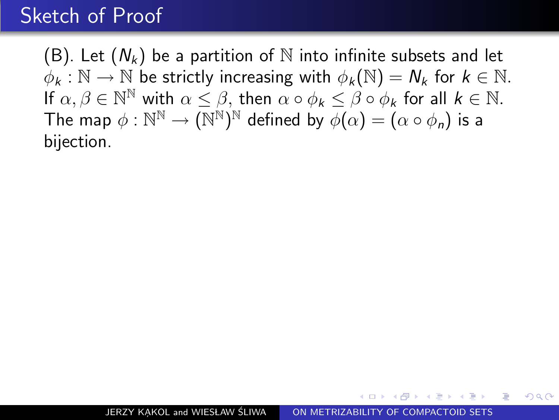(B). Let  $(N_k)$  be a partition of N into infinite subsets and let  $\phi_k : \mathbb{N} \to \mathbb{N}$  be strictly increasing with  $\phi_k(\mathbb{N}) = N_k$  for  $k \in \mathbb{N}$ . If  $\alpha, \beta \in \mathbb{N}^{\mathbb{N}}$  with  $\alpha \leq \beta$ , then  $\alpha \circ \phi_k \leq \beta \circ \phi_k$  for all  $k \in \mathbb{N}$ . The map  $\phi: \mathbb{N}^\mathbb{N} \to (\mathbb{N}^\mathbb{N})^\mathbb{N}$  defined by  $\phi(\alpha) = (\alpha \circ \phi_\mathsf{n})$  is a bijection.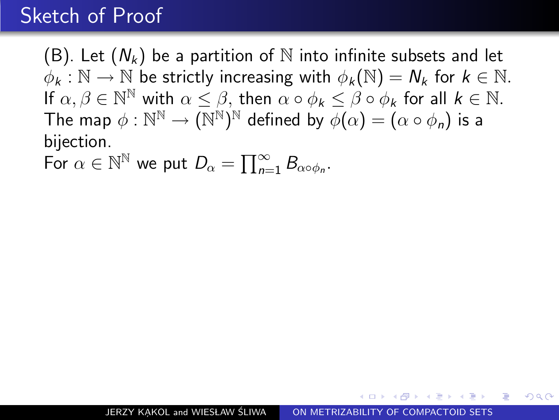(B). Let  $(N_k)$  be a partition of N into infinite subsets and let  $\phi_k : \mathbb{N} \to \mathbb{N}$  be strictly increasing with  $\phi_k(\mathbb{N}) = N_k$  for  $k \in \mathbb{N}$ . If  $\alpha, \beta \in \mathbb{N}^{\mathbb{N}}$  with  $\alpha \leq \beta$ , then  $\alpha \circ \phi_k \leq \beta \circ \phi_k$  for all  $k \in \mathbb{N}$ . The map  $\phi: \mathbb{N}^\mathbb{N} \to (\mathbb{N}^\mathbb{N})^\mathbb{N}$  defined by  $\phi(\alpha) = (\alpha \circ \phi_\mathsf{n})$  is a bijection.

For  $\alpha \in \mathbb{N}^{\mathbb{N}}$  we put  $D_{\alpha} = \prod_{n=1}^{\infty} B_{\alpha \circ \phi_n}$ .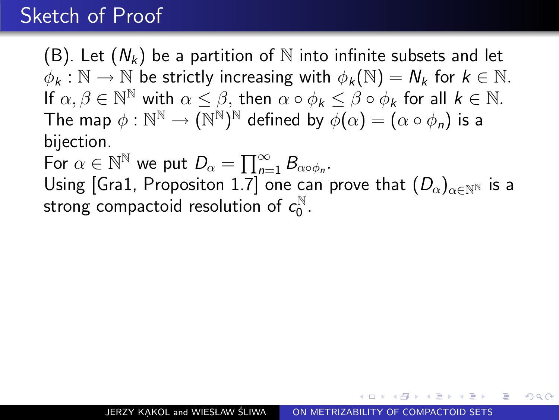(B). Let  $(N_k)$  be a partition of N into infinite subsets and let  $\phi_k : \mathbb{N} \to \mathbb{N}$  be strictly increasing with  $\phi_k(\mathbb{N}) = N_k$  for  $k \in \mathbb{N}$ . If  $\alpha, \beta \in \mathbb{N}^{\mathbb{N}}$  with  $\alpha \leq \beta$ , then  $\alpha \circ \phi_k \leq \beta \circ \phi_k$  for all  $k \in \mathbb{N}$ . The map  $\phi: \mathbb{N}^\mathbb{N} \to (\mathbb{N}^\mathbb{N})^\mathbb{N}$  defined by  $\phi(\alpha) = (\alpha \circ \phi_\mathsf{n})$  is a bijection.

For  $\alpha \in \mathbb{N}^{\mathbb{N}}$  we put  $D_{\alpha} = \prod_{n=1}^{\infty} B_{\alpha \circ \phi_n}$ . Using [Gra1, Propositon 1.7] one can prove that  $(D_{\alpha})_{\alpha \in \mathbb{N}^{\mathbb{N}}}$  is a strong compactoid resolution of  $c_0^{\mathbb{N}}$ .N<br>0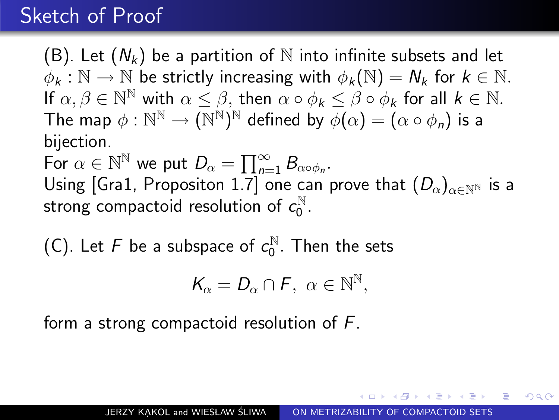(B). Let  $(N_k)$  be a partition of N into infinite subsets and let  $\phi_k : \mathbb{N} \to \mathbb{N}$  be strictly increasing with  $\phi_k(\mathbb{N}) = N_k$  for  $k \in \mathbb{N}$ . If  $\alpha, \beta \in \mathbb{N}^{\mathbb{N}}$  with  $\alpha \leq \beta$ , then  $\alpha \circ \phi_k \leq \beta \circ \phi_k$  for all  $k \in \mathbb{N}$ . The map  $\phi: \mathbb{N}^\mathbb{N} \to (\mathbb{N}^\mathbb{N})^\mathbb{N}$  defined by  $\phi(\alpha) = (\alpha \circ \phi_\mathsf{n})$  is a bijection.

For  $\alpha \in \mathbb{N}^{\mathbb{N}}$  we put  $D_{\alpha} = \prod_{n=1}^{\infty} B_{\alpha \circ \phi_n}$ . Using [Gra1, Propositon 1.7] one can prove that  $(D_{\alpha})_{\alpha \in \mathbb{N}^{\mathbb{N}}}$  is a strong compactoid resolution of  $c_0^{\mathbb{N}}$ .N<br>0

(C). Let F be a subspace of  $c_0^{\mathbb{N}}$  $_0^{\mathbb{N}}$ . Then the sets

$$
\mathcal{K}_{\alpha}=D_{\alpha}\cap\mathcal{F},\ \alpha\in\mathbb{N}^{\mathbb{N}},
$$

form a strong compactoid resolution of F.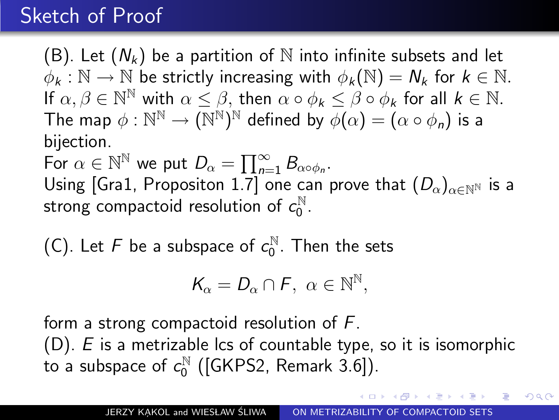(B). Let  $(N_k)$  be a partition of N into infinite subsets and let  $\phi_k : \mathbb{N} \to \mathbb{N}$  be strictly increasing with  $\phi_k(\mathbb{N}) = N_k$  for  $k \in \mathbb{N}$ . If  $\alpha, \beta \in \mathbb{N}^{\mathbb{N}}$  with  $\alpha \leq \beta$ , then  $\alpha \circ \phi_k \leq \beta \circ \phi_k$  for all  $k \in \mathbb{N}$ . The map  $\phi: \mathbb{N}^\mathbb{N} \to (\mathbb{N}^\mathbb{N})^\mathbb{N}$  defined by  $\phi(\alpha) = (\alpha \circ \phi_\mathsf{n})$  is a bijection.

For  $\alpha \in \mathbb{N}^{\mathbb{N}}$  we put  $D_{\alpha} = \prod_{n=1}^{\infty} B_{\alpha \circ \phi_n}$ . Using [Gra1, Propositon 1.7] one can prove that  $(D_{\alpha})_{\alpha \in \mathbb{N}^{\mathbb{N}}}$  is a strong compactoid resolution of  $c_0^{\mathbb{N}}$ .N<br>0

(C). Let F be a subspace of  $c_0^{\mathbb{N}}$  $_0^{\mathbb{N}}$ . Then the sets

$$
\mathcal{K}_{\alpha}=D_{\alpha}\cap\mathcal{F},\ \alpha\in\mathbb{N}^{\mathbb{N}},
$$

form a strong compactoid resolution of F.

 $(D)$ . E is a metrizable lcs of countable type, so it is isomorphic to a subspace of  $c_0^{\mathbb{N}}$  $\int_{0}^{\mathbb{N}}$  ([GKPS2, Remark 3.6]).

<span id="page-114-0"></span>**GARAGE**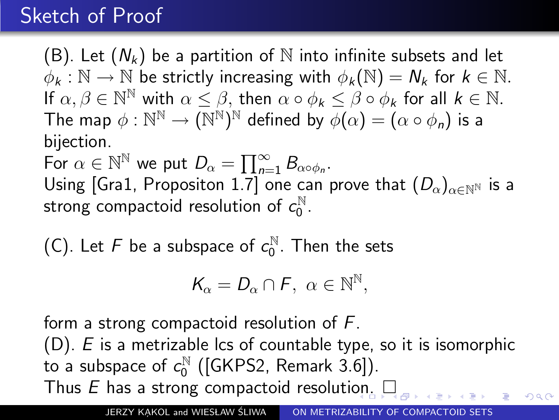(B). Let  $(N_k)$  be a partition of N into infinite subsets and let  $\phi_k : \mathbb{N} \to \mathbb{N}$  be strictly increasing with  $\phi_k(\mathbb{N}) = N_k$  for  $k \in \mathbb{N}$ . If  $\alpha, \beta \in \mathbb{N}^{\mathbb{N}}$  with  $\alpha \leq \beta$ , then  $\alpha \circ \phi_k \leq \beta \circ \phi_k$  for all  $k \in \mathbb{N}$ . The map  $\phi: \mathbb{N}^\mathbb{N} \to (\mathbb{N}^\mathbb{N})^\mathbb{N}$  defined by  $\phi(\alpha) = (\alpha \circ \phi_\mathsf{n})$  is a bijection.

For  $\alpha \in \mathbb{N}^{\mathbb{N}}$  we put  $D_{\alpha} = \prod_{n=1}^{\infty} B_{\alpha \circ \phi_n}$ . Using [Gra1, Propositon 1.7] one can prove that  $(D_{\alpha})_{\alpha \in \mathbb{N}^{N}}$  is a strong compactoid resolution of  $c_0^{\mathbb{N}}$ .N<br>0

(C). Let F be a subspace of  $c_0^{\mathbb{N}}$  $_0^{\mathbb{N}}$ . Then the sets

$$
\mathcal{K}_{\alpha}=D_{\alpha}\cap\mathcal{F},\ \alpha\in\mathbb{N}^{\mathbb{N}},
$$

form a strong compactoid resolution of F.

 $(D)$ . E is a metrizable lcs of countable type, so it is isomorphic to a subspace of  $c_0^{\mathbb{N}}$  $\int_{0}^{\mathbb{N}}$  ([GKPS2, Remark 3.6]). Thus  $E$  has a str[on](#page-114-0)g compactoid resolution.  $\square$ 

JERZY KAKOL and WIESŁAW ŚLIWA | [ON METRIZABILITY OF COMPACTOID SETS](#page-0-0)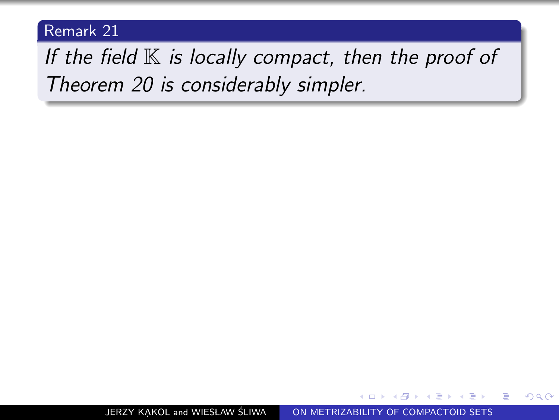<span id="page-116-0"></span>If the field  $K$  is locally compact, then the proof of Theorem 20 is considerably simpler.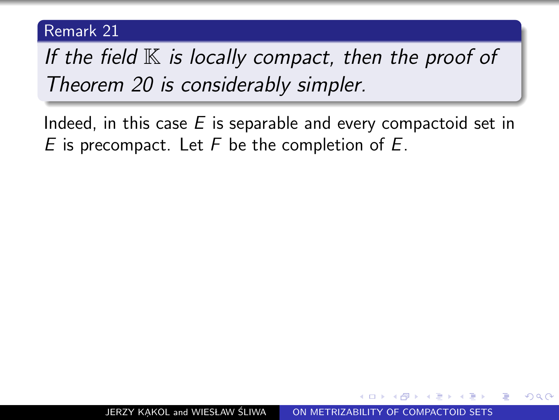If the field  $K$  is locally compact, then the proof of Theorem 20 is considerably simpler.

Indeed, in this case  $E$  is separable and every compactoid set in E is precompact. Let  $F$  be the completion of  $E$ .

 $\Omega$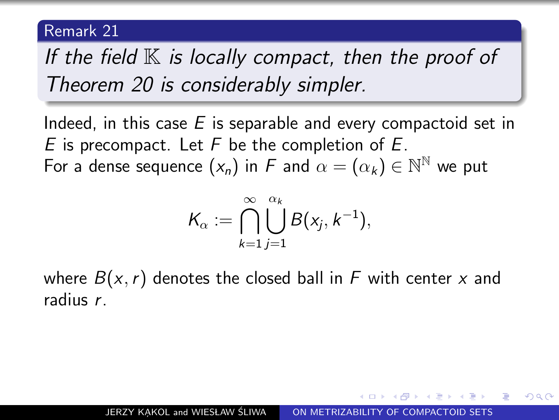If the field  $K$  is locally compact, then the proof of Theorem 20 is considerably simpler.

Indeed, in this case  $E$  is separable and every compactoid set in E is precompact. Let  $F$  be the completion of  $E$ . For a dense sequence  $(x_n)$  in  $F$  and  $\alpha = (\alpha_k) \in \mathbb{N}^{\mathbb{N}}$  we put

$$
\mathcal{K}_{\alpha} := \bigcap_{k=1}^{\infty} \bigcup_{j=1}^{\alpha_k} B(x_j, k^{-1}),
$$

where  $B(x, r)$  denotes the closed ball in F with center x and radius r.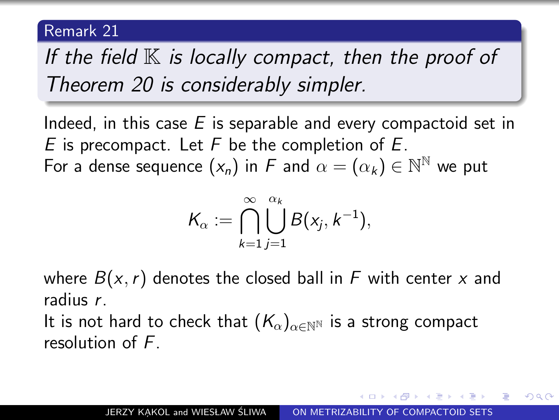If the field  $K$  is locally compact, then the proof of Theorem 20 is considerably simpler.

Indeed, in this case  $E$  is separable and every compactoid set in E is precompact. Let  $F$  be the completion of  $E$ . For a dense sequence  $(x_n)$  in  $F$  and  $\alpha = (\alpha_k) \in \mathbb{N}^{\mathbb{N}}$  we put

$$
\mathcal{K}_{\alpha} := \bigcap_{k=1}^{\infty} \bigcup_{j=1}^{\alpha_k} B(x_j, k^{-1}),
$$

where  $B(x, r)$  denotes the closed ball in F with center x and radius r.

It is not hard to check that  $(K_{\alpha})_{\alpha \in \mathbb{N}^{\mathbb{N}}}$  is a strong compact resolution of F.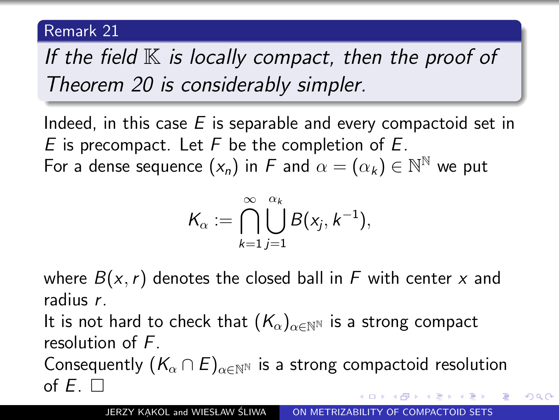If the field  $K$  is locally compact, then the proof of Theorem 20 is considerably simpler.

Indeed, in this case  $E$  is separable and every compactoid set in E is precompact. Let  $F$  be the completion of  $E$ . For a dense sequence  $(x_n)$  in  $F$  and  $\alpha = (\alpha_k) \in \mathbb{N}^{\mathbb{N}}$  we put

$$
\mathcal{K}_{\alpha} := \bigcap_{k=1}^{\infty} \bigcup_{j=1}^{\alpha_k} B(x_j, k^{-1}),
$$

where  $B(x, r)$  denotes the closed ball in F with center x and radius r.

It is not hard to check that  $(K_{\alpha})_{\alpha \in \mathbb{N}^{\mathbb{N}}}$  is a strong compact resolution of F.

Consequently  $(K_\alpha \cap E)_{\alpha \in \mathbb{N}^{\mathbb{N}}}$  is a strong compactoid resolution of  $F$   $\Box$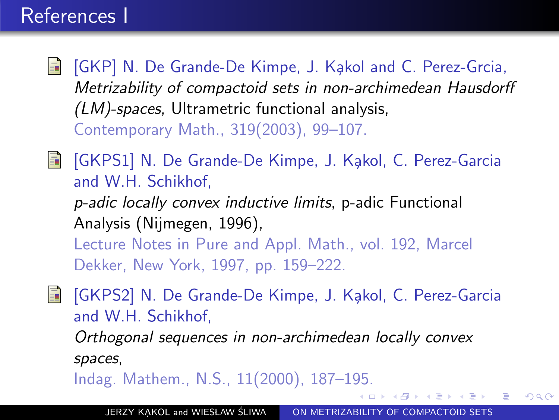### References I

- **F** [GKP] N. De Grande-De Kimpe, J. Kakol and C. Perez-Grcia, Metrizability of compactoid sets in non-archimedean Hausdorff (LM)-spaces, Ultrametric functional analysis, Contemporary Math., 319(2003), 99–107.
- [GKPS1] N. De Grande-De Kimpe, J. Kakol, C. Perez-Garcia 螶 and W.H. Schikhof, p-adic locally convex inductive limits, p-adic Functional Analysis (Nijmegen, 1996), Lecture Notes in Pure and Appl. Math., vol. 192, Marcel Dekker, New York, 1997, pp. 159–222.
- [GKPS2] N. De Grande-De Kimpe, J. Kakol, C. Perez-Garcia 暈 and W.H. Schikhof,

Orthogonal sequences in non-archimedean locally convex spaces,

Indag. Mathem., N.S., 11(2000), 187–195.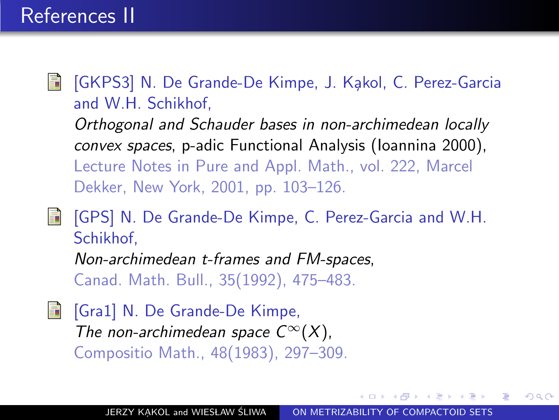[GKPS3] N. De Grande-De Kimpe, J. Kakol, C. Perez-Garcia F and W.H. Schikhof, Orthogonal and Schauder bases in non-archimedean locally convex spaces, p-adic Functional Analysis (Ioannina 2000), Lecture Notes in Pure and Appl. Math., vol. 222, Marcel Dekker, New York, 2001, pp. 103–126.

[GPS] N. De Grande-De Kimpe, C. Perez-Garcia and W.H. 螶 Schikhof,

Non-archimedean t-frames and FM-spaces, Canad. Math. Bull., 35(1992), 475–483.

**Fi** [Gra1] N. De Grande-De Kimpe, The non-archimedean space  $C^{\infty}(X)$ , Compositio Math., 48(1983), 297–309.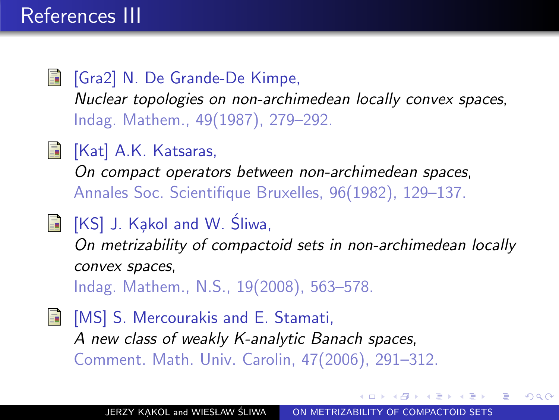- **Fi** [Gra2] N. De Grande-De Kimpe, Nuclear topologies on non-archimedean locally convex spaces, Indag. Mathem., 49(1987), 279–292.
- **[Kat] A.K. Katsaras,**

On compact operators between non-archimedean spaces, Annales Soc. Scientifique Bruxelles, 96(1982), 129–137.

 $\blacksquare$  [KS] J. Kakol and W. Sliwa,

On metrizability of compactoid sets in non-archimedean locally convex spaces,

Indag. Mathem., N.S., 19(2008), 563–578.

[MS] S. Mercourakis and E. Stamati, A new class of weakly K-analytic Banach spaces, Comment. Math. Univ. Carolin, 47(2006), 291–312.

つくへ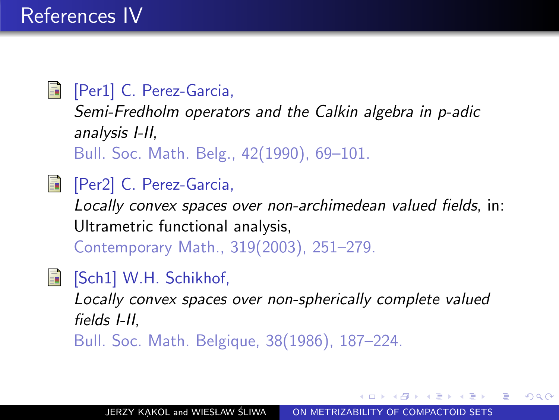### F [Per1] C. Perez-Garcia,

Semi-Fredholm operators and the Calkin algebra in p-adic analysis I-II, Bull. Soc. Math. Belg., 42(1990), 69–101.

### F [Per2] C. Perez-Garcia,

Locally convex spaces over non-archimedean valued fields, in: Ultrametric functional analysis,

Contemporary Math., 319(2003), 251–279.

### **[Sch1] W.H. Schikhof,**

Locally convex spaces over non-spherically complete valued fields I-II, Bull. Soc. Math. Belgique, 38(1986), 187–224.